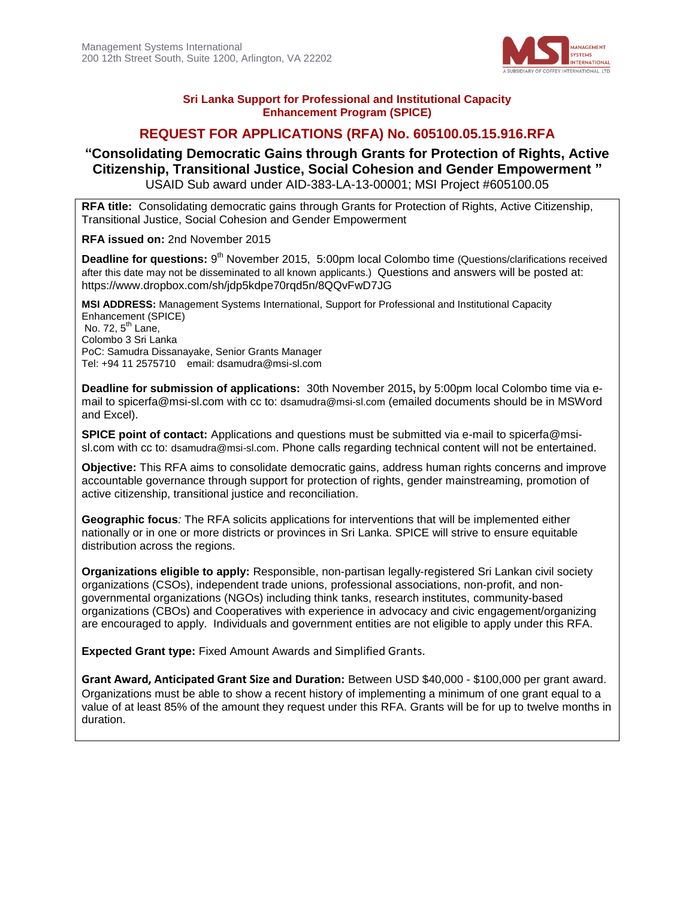

#### **Sri Lanka Support for Professional and Institutional Capacity Enhancement Program (SPICE)**

# **REQUEST FOR APPLICATIONS (RFA) No. 605100.05.15.916.RFA**

# **"Consolidating Democratic Gains through Grants for Protection of Rights, Active Citizenship, Transitional Justice, Social Cohesion and Gender Empowerment "** USAID Sub award under AID-383-LA-13-00001; MSI Project #605100.05

**RFA title:** Consolidating democratic gains through Grants for Protection of Rights, Active Citizenship, Transitional Justice, Social Cohesion and Gender Empowerment

**RFA issued on:** 2nd November 2015

Deadline for questions: 9<sup>th</sup> November 2015, 5:00pm local Colombo time (Questions/clarifications received after this date may not be disseminated to all known applicants.) Questions and answers will be posted at: <https://www.dropbox.com/sh/jdp5kdpe70rqd5n/8QQvFwD7JG>

**MSI ADDRESS:** Management Systems International, Support for Professional and Institutional Capacity Enhancement (SPICE) No. 72,  $5<sup>th</sup>$  Lane, Colombo 3 Sri Lanka PoC: Samudra Dissanayake, Senior Grants Manager Tel: +94 11 2575710 email: [dsamudra@msi-sl.com](mailto:dsamudra@msi-sl.com)

**Deadline for submission of applications:** 30th November 2015**,** by 5:00pm local Colombo time via email to [spicerfa@msi-sl.com](mailto:spicerfa@msi-sl.com) with cc to: [dsamudra@msi-sl.com](mailto:dsamudra@msi-sl.com) (emailed documents should be in MSWord and Excel).

**SPICE point of contact:** Applications and questions must be submitted via e-mail to [spicerfa@msi](mailto:spicerfa@msi-sl.com)[sl.com](mailto:spicerfa@msi-sl.com) with cc to: [dsamudra@msi-sl.com](mailto:dsamudra@msi-sl.com). Phone calls regarding technical content will not be entertained.

**Objective:** This RFA aims to consolidate democratic gains, address human rights concerns and improve accountable governance through support for protection of rights, gender mainstreaming, promotion of active citizenship, transitional justice and reconciliation.

**Geographic focus***:* The RFA solicits applications for interventions that will be implemented either nationally or in one or more districts or provinces in Sri Lanka. SPICE will strive to ensure equitable distribution across the regions.

**Organizations eligible to apply:** Responsible, non-partisan legally-registered Sri Lankan civil society organizations (CSOs), independent trade unions, professional associations, non-profit, and nongovernmental organizations (NGOs) including think tanks, research institutes, community-based organizations (CBOs) and Cooperatives with experience in advocacy and civic engagement/organizing are encouraged to apply. Individuals and government entities are not eligible to apply under this RFA.

**Expected Grant type:** Fixed Amount Awards and Simplified Grants.

**Grant Award, Anticipated Grant Size and Duration:** Between USD \$40,000 - \$100,000 per grant award. Organizations must be able to show a recent history of implementing a minimum of one grant equal to a value of at least 85% of the amount they request under this RFA. Grants will be for up to twelve months in duration.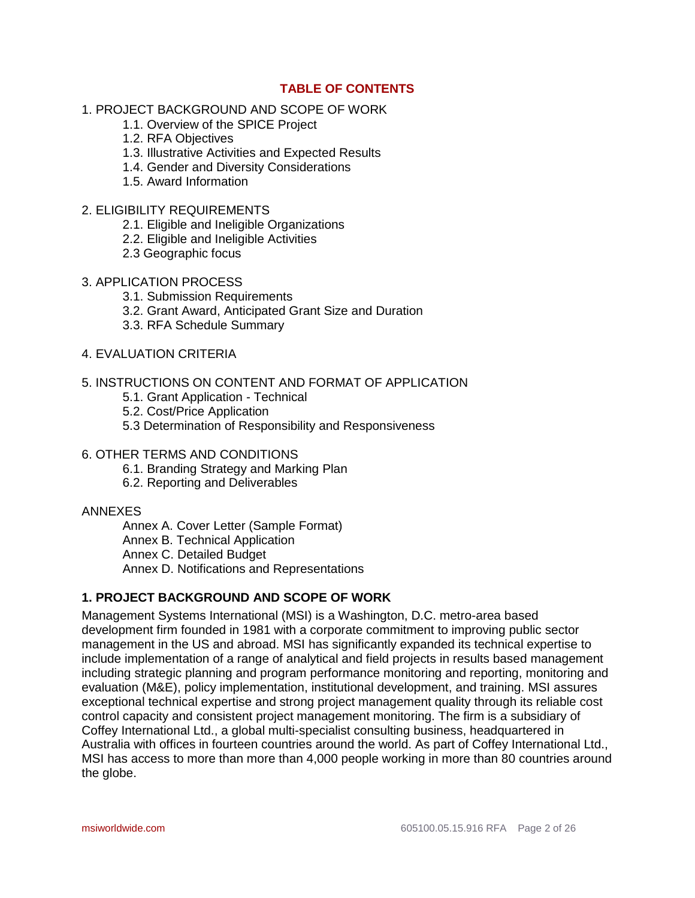# **TABLE OF CONTENTS**

- 1. PROJECT BACKGROUND AND SCOPE OF WORK
	- 1.1. Overview of the SPICE Project
	- 1.2. RFA Objectives
	- 1.3. Illustrative Activities and Expected Results
	- 1.4. Gender and Diversity Considerations
	- 1.5. Award Information
- 2. ELIGIBILITY REQUIREMENTS
	- 2.1. Eligible and Ineligible Organizations
	- 2.2. Eligible and Ineligible Activities
	- 2.3 Geographic focus
- 3. APPLICATION PROCESS
	- 3.1. Submission Requirements
	- 3.2. Grant Award, Anticipated Grant Size and Duration
	- 3.3. RFA Schedule Summary
- 4. EVALUATION CRITERIA

## 5. INSTRUCTIONS ON CONTENT AND FORMAT OF APPLICATION

- 5.1. Grant Application Technical
- 5.2. Cost/Price Application
- 5.3 Determination of Responsibility and Responsiveness

#### 6. OTHER TERMS AND CONDITIONS

- 6.1. Branding Strategy and Marking Plan
- 6.2. Reporting and Deliverables

### ANNEXES

Annex A. Cover Letter (Sample Format) Annex B. Technical Application Annex C. Detailed Budget Annex D. Notifications and Representations

# **1. PROJECT BACKGROUND AND SCOPE OF WORK**

Management Systems International (MSI) is a Washington, D.C. metro-area based development firm founded in 1981 with a corporate commitment to improving public sector management in the US and abroad. MSI has significantly expanded its technical expertise to include implementation of a range of analytical and field projects in results based management including strategic planning and program performance monitoring and reporting, monitoring and evaluation (M&E), policy implementation, institutional development, and training. MSI assures exceptional technical expertise and strong project management quality through its reliable cost control capacity and consistent project management monitoring. The firm is a subsidiary of Coffey International Ltd., a global multi-specialist consulting business, headquartered in Australia with offices in fourteen countries around the world. As part of Coffey International Ltd., MSI has access to more than more than 4,000 people working in more than 80 countries around the globe.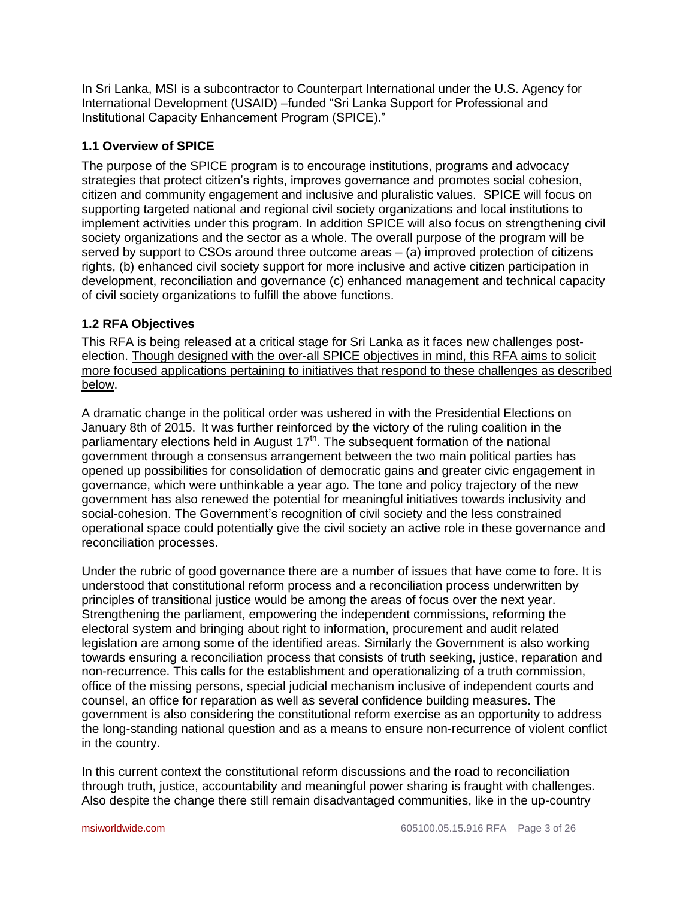In Sri Lanka, MSI is a subcontractor to Counterpart International under the U.S. Agency for International Development (USAID) –funded "Sri Lanka Support for Professional and Institutional Capacity Enhancement Program (SPICE)."

# **1.1 Overview of SPICE**

The purpose of the SPICE program is to encourage institutions, programs and advocacy strategies that protect citizen's rights, improves governance and promotes social cohesion, citizen and community engagement and inclusive and pluralistic values. SPICE will focus on supporting targeted national and regional civil society organizations and local institutions to implement activities under this program. In addition SPICE will also focus on strengthening civil society organizations and the sector as a whole. The overall purpose of the program will be served by support to CSOs around three outcome areas – (a) improved protection of citizens rights, (b) enhanced civil society support for more inclusive and active citizen participation in development, reconciliation and governance (c) enhanced management and technical capacity of civil society organizations to fulfill the above functions.

# **1.2 RFA Objectives**

This RFA is being released at a critical stage for Sri Lanka as it faces new challenges postelection. Though designed with the over-all SPICE objectives in mind, this RFA aims to solicit more focused applications pertaining to initiatives that respond to these challenges as described below.

A dramatic change in the political order was ushered in with the Presidential Elections on January 8th of 2015. It was further reinforced by the victory of the ruling coalition in the parliamentary elections held in August  $17<sup>th</sup>$ . The subsequent formation of the national government through a consensus arrangement between the two main political parties has opened up possibilities for consolidation of democratic gains and greater civic engagement in governance, which were unthinkable a year ago. The tone and policy trajectory of the new government has also renewed the potential for meaningful initiatives towards inclusivity and social-cohesion. The Government's recognition of civil society and the less constrained operational space could potentially give the civil society an active role in these governance and reconciliation processes.

Under the rubric of good governance there are a number of issues that have come to fore. It is understood that constitutional reform process and a reconciliation process underwritten by principles of transitional justice would be among the areas of focus over the next year. Strengthening the parliament, empowering the independent commissions, reforming the electoral system and bringing about right to information, procurement and audit related legislation are among some of the identified areas. Similarly the Government is also working towards ensuring a reconciliation process that consists of truth seeking, justice, reparation and non-recurrence. This calls for the establishment and operationalizing of a truth commission, office of the missing persons, special judicial mechanism inclusive of independent courts and counsel, an office for reparation as well as several confidence building measures. The government is also considering the constitutional reform exercise as an opportunity to address the long-standing national question and as a means to ensure non-recurrence of violent conflict in the country.

In this current context the constitutional reform discussions and the road to reconciliation through truth, justice, accountability and meaningful power sharing is fraught with challenges. Also despite the change there still remain disadvantaged communities, like in the up-country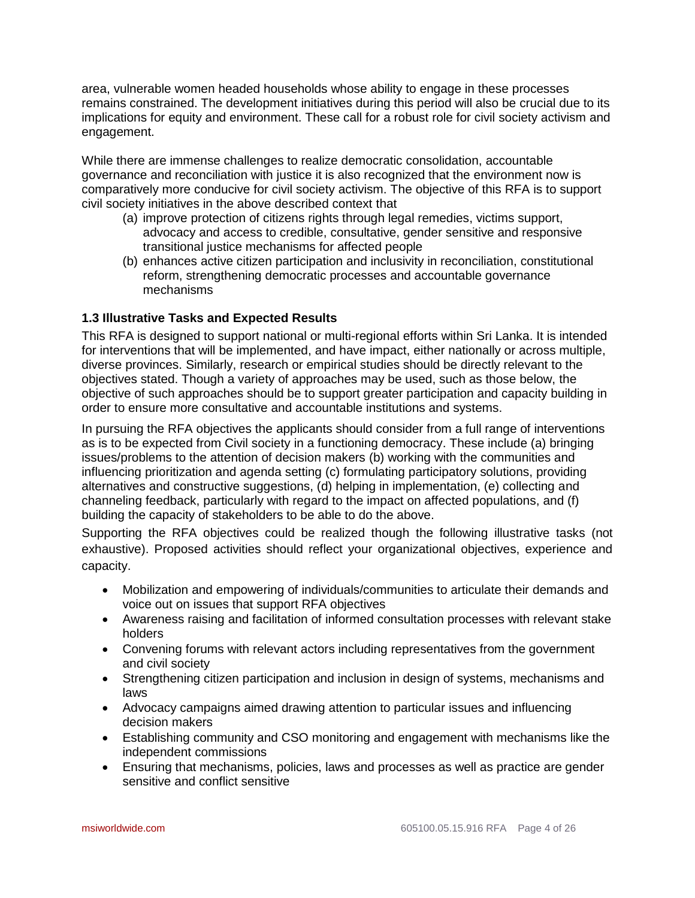area, vulnerable women headed households whose ability to engage in these processes remains constrained. The development initiatives during this period will also be crucial due to its implications for equity and environment. These call for a robust role for civil society activism and engagement.

While there are immense challenges to realize democratic consolidation, accountable governance and reconciliation with justice it is also recognized that the environment now is comparatively more conducive for civil society activism. The objective of this RFA is to support civil society initiatives in the above described context that

- (a) improve protection of citizens rights through legal remedies, victims support, advocacy and access to credible, consultative, gender sensitive and responsive transitional justice mechanisms for affected people
- (b) enhances active citizen participation and inclusivity in reconciliation, constitutional reform, strengthening democratic processes and accountable governance mechanisms

# **1.3 Illustrative Tasks and Expected Results**

This RFA is designed to support national or multi-regional efforts within Sri Lanka. It is intended for interventions that will be implemented, and have impact, either nationally or across multiple, diverse provinces. Similarly, research or empirical studies should be directly relevant to the objectives stated. Though a variety of approaches may be used, such as those below, the objective of such approaches should be to support greater participation and capacity building in order to ensure more consultative and accountable institutions and systems.

In pursuing the RFA objectives the applicants should consider from a full range of interventions as is to be expected from Civil society in a functioning democracy. These include (a) bringing issues/problems to the attention of decision makers (b) working with the communities and influencing prioritization and agenda setting (c) formulating participatory solutions, providing alternatives and constructive suggestions, (d) helping in implementation, (e) collecting and channeling feedback, particularly with regard to the impact on affected populations, and (f) building the capacity of stakeholders to be able to do the above.

Supporting the RFA objectives could be realized though the following illustrative tasks (not exhaustive). Proposed activities should reflect your organizational objectives, experience and capacity.

- Mobilization and empowering of individuals/communities to articulate their demands and voice out on issues that support RFA objectives
- Awareness raising and facilitation of informed consultation processes with relevant stake holders
- Convening forums with relevant actors including representatives from the government and civil society
- Strengthening citizen participation and inclusion in design of systems, mechanisms and laws
- Advocacy campaigns aimed drawing attention to particular issues and influencing decision makers
- Establishing community and CSO monitoring and engagement with mechanisms like the independent commissions
- Ensuring that mechanisms, policies, laws and processes as well as practice are gender sensitive and conflict sensitive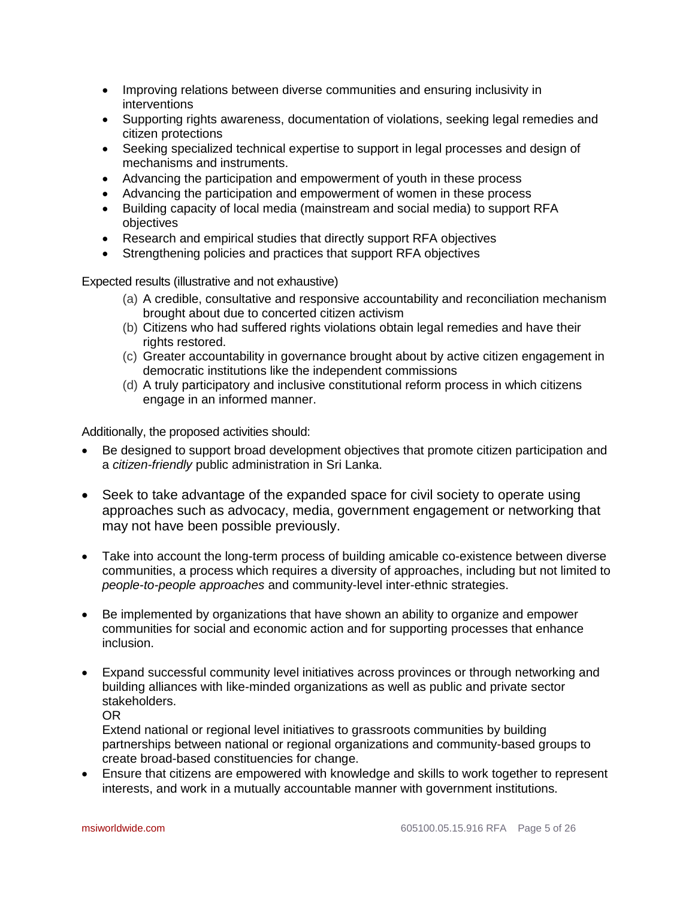- Improving relations between diverse communities and ensuring inclusivity in interventions
- Supporting rights awareness, documentation of violations, seeking legal remedies and citizen protections
- Seeking specialized technical expertise to support in legal processes and design of mechanisms and instruments.
- Advancing the participation and empowerment of youth in these process
- Advancing the participation and empowerment of women in these process
- Building capacity of local media (mainstream and social media) to support RFA objectives
- Research and empirical studies that directly support RFA objectives
- Strengthening policies and practices that support RFA objectives

Expected results (illustrative and not exhaustive)

- (a) A credible, consultative and responsive accountability and reconciliation mechanism brought about due to concerted citizen activism
- (b) Citizens who had suffered rights violations obtain legal remedies and have their rights restored.
- (c) Greater accountability in governance brought about by active citizen engagement in democratic institutions like the independent commissions
- (d) A truly participatory and inclusive constitutional reform process in which citizens engage in an informed manner.

Additionally, the proposed activities should:

- Be designed to support broad development objectives that promote citizen participation and a *citizen-friendly* public administration in Sri Lanka.
- Seek to take advantage of the expanded space for civil society to operate using approaches such as advocacy, media, government engagement or networking that may not have been possible previously.
- Take into account the long-term process of building amicable co-existence between diverse communities, a process which requires a diversity of approaches, including but not limited to *people-to-people approaches* and community-level inter-ethnic strategies.
- Be implemented by organizations that have shown an ability to organize and empower communities for social and economic action and for supporting processes that enhance inclusion.
- Expand successful community level initiatives across provinces or through networking and building alliances with like-minded organizations as well as public and private sector stakeholders.

OR

Extend national or regional level initiatives to grassroots communities by building partnerships between national or regional organizations and community-based groups to create broad-based constituencies for change.

 Ensure that citizens are empowered with knowledge and skills to work together to represent interests, and work in a mutually accountable manner with government institutions.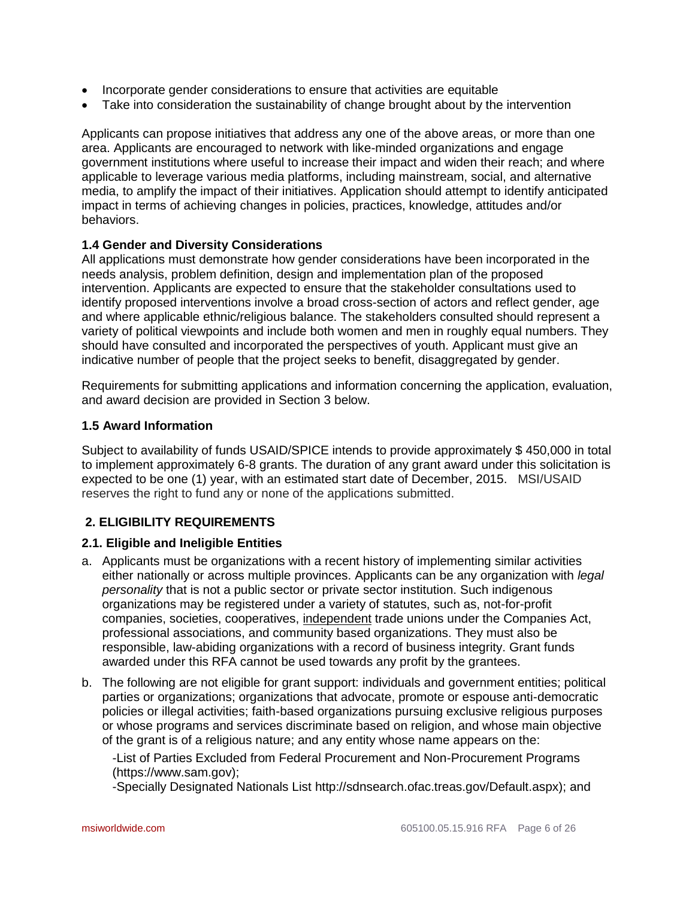- Incorporate gender considerations to ensure that activities are equitable
- Take into consideration the sustainability of change brought about by the intervention

Applicants can propose initiatives that address any one of the above areas, or more than one area. Applicants are encouraged to network with like-minded organizations and engage government institutions where useful to increase their impact and widen their reach; and where applicable to leverage various media platforms, including mainstream, social, and alternative media, to amplify the impact of their initiatives. Application should attempt to identify anticipated impact in terms of achieving changes in policies, practices, knowledge, attitudes and/or behaviors.

### **1.4 Gender and Diversity Considerations**

All applications must demonstrate how gender considerations have been incorporated in the needs analysis, problem definition, design and implementation plan of the proposed intervention. Applicants are expected to ensure that the stakeholder consultations used to identify proposed interventions involve a broad cross-section of actors and reflect gender, age and where applicable ethnic/religious balance. The stakeholders consulted should represent a variety of political viewpoints and include both women and men in roughly equal numbers. They should have consulted and incorporated the perspectives of youth. Applicant must give an indicative number of people that the project seeks to benefit, disaggregated by gender.

Requirements for submitting applications and information concerning the application, evaluation, and award decision are provided in Section 3 below.

### **1.5 Award Information**

Subject to availability of funds USAID/SPICE intends to provide approximately \$ 450,000 in total to implement approximately 6-8 grants. The duration of any grant award under this solicitation is expected to be one (1) year, with an estimated start date of December, 2015. MSI/USAID reserves the right to fund any or none of the applications submitted.

# **2. ELIGIBILITY REQUIREMENTS**

# **2.1. Eligible and Ineligible Entities**

- a. Applicants must be organizations with a recent history of implementing similar activities either nationally or across multiple provinces. Applicants can be any organization with *legal personality* that is not a public sector or private sector institution. Such indigenous organizations may be registered under a variety of statutes, such as, not-for-profit companies, societies, cooperatives, independent trade unions under the Companies Act, professional associations, and community based organizations. They must also be responsible, law-abiding organizations with a record of business integrity. Grant funds awarded under this RFA cannot be used towards any profit by the grantees.
- b. The following are not eligible for grant support: individuals and government entities; political parties or organizations; organizations that advocate, promote or espouse anti-democratic policies or illegal activities; faith-based organizations pursuing exclusive religious purposes or whose programs and services discriminate based on religion, and whose main objective of the grant is of a religious nature; and any entity whose name appears on the:

-List of Parties Excluded from Federal Procurement and Non-Procurement Programs [\(https://www.sam.gov\)](https://www.sam.gov/);

-Specially Designated Nationals List [http://sdnsearch.ofac.treas.gov/Default.aspx\)](http://sdnsearch.ofac.treas.gov/Default.aspx); and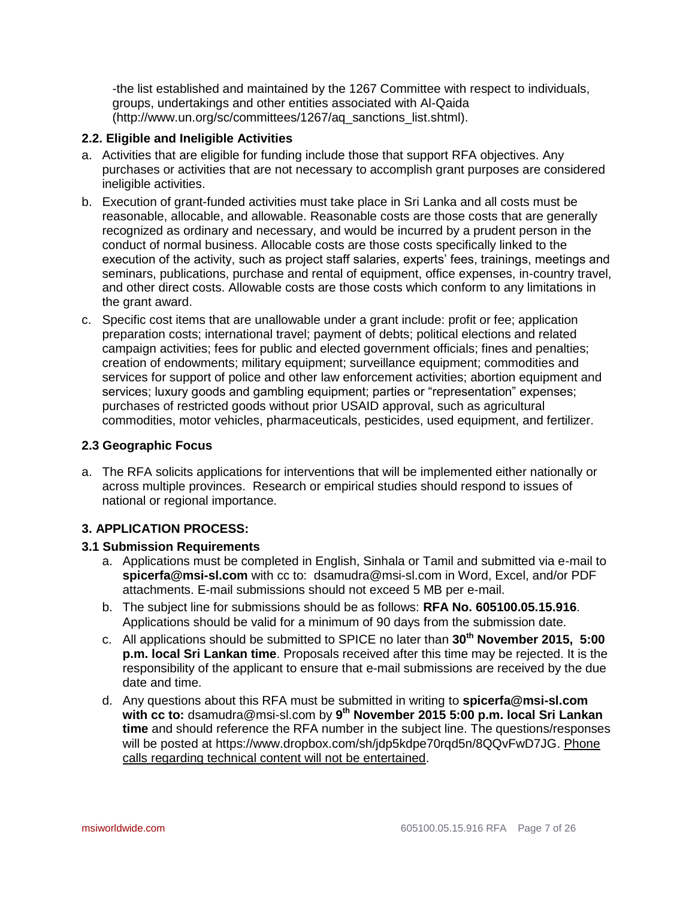-the list established and maintained by the 1267 Committee with respect to individuals, groups, undertakings and other entities associated with Al-Qaida [\(http://www.un.org/sc/committees/1267/aq\\_sanctions\\_list.shtml\)](http://www.un.org/sc/committees/1267/aq_sanctions_list.shtml).

## **2.2. Eligible and Ineligible Activities**

- a. Activities that are eligible for funding include those that support RFA objectives. Any purchases or activities that are not necessary to accomplish grant purposes are considered ineligible activities.
- b. Execution of grant-funded activities must take place in Sri Lanka and all costs must be reasonable, allocable, and allowable. Reasonable costs are those costs that are generally recognized as ordinary and necessary, and would be incurred by a prudent person in the conduct of normal business. Allocable costs are those costs specifically linked to the execution of the activity, such as project staff salaries, experts' fees, trainings, meetings and seminars, publications, purchase and rental of equipment, office expenses, in-country travel, and other direct costs. Allowable costs are those costs which conform to any limitations in the grant award.
- c. Specific cost items that are unallowable under a grant include: profit or fee; application preparation costs; international travel; payment of debts; political elections and related campaign activities; fees for public and elected government officials; fines and penalties; creation of endowments; military equipment; surveillance equipment; commodities and services for support of police and other law enforcement activities; abortion equipment and services; luxury goods and gambling equipment; parties or "representation" expenses; purchases of restricted goods without prior USAID approval, such as agricultural commodities, motor vehicles, pharmaceuticals, pesticides, used equipment, and fertilizer.

### **2.3 Geographic Focus**

a. The RFA solicits applications for interventions that will be implemented either nationally or across multiple provinces. Research or empirical studies should respond to issues of national or regional importance.

# **3. APPLICATION PROCESS:**

#### **3.1 Submission Requirements**

- a. Applications must be completed in English, Sinhala or Tamil and submitted via e-mail to **[spicerfa@msi-sl.com](mailto:spicerfa@msi-sl.com)** with cc to: [dsamudra@msi-sl.com](mailto:dsamudra@msi-sl.com) in Word, Excel, and/or PDF attachments. E-mail submissions should not exceed 5 MB per e-mail.
- b. The subject line for submissions should be as follows: **RFA No. 605100.05.15.916**. Applications should be valid for a minimum of 90 days from the submission date.
- c. All applications should be submitted to SPICE no later than **30th November 2015, 5:00 p.m. local Sri Lankan time**. Proposals received after this time may be rejected. It is the responsibility of the applicant to ensure that e-mail submissions are received by the due date and time.
- d. Any questions about this RFA must be submitted in writing to **[spicerfa@msi-sl.com](mailto:spicerfa@msi-sl.com) with cc to:** [dsamudra@msi-sl.com](mailto:dsamudra@msi-sl.com) by **9 th November 2015 5:00 p.m. local Sri Lankan time** and should reference the RFA number in the subject line. The questions/responses will be posted at [https://www.dropbox.com/sh/jdp5kdpe70rqd5n/8QQvFwD7JG.](https://www.dropbox.com/sh/jdp5kdpe70rqd5n/8QQvFwD7JG) Phone calls regarding technical content will not be entertained.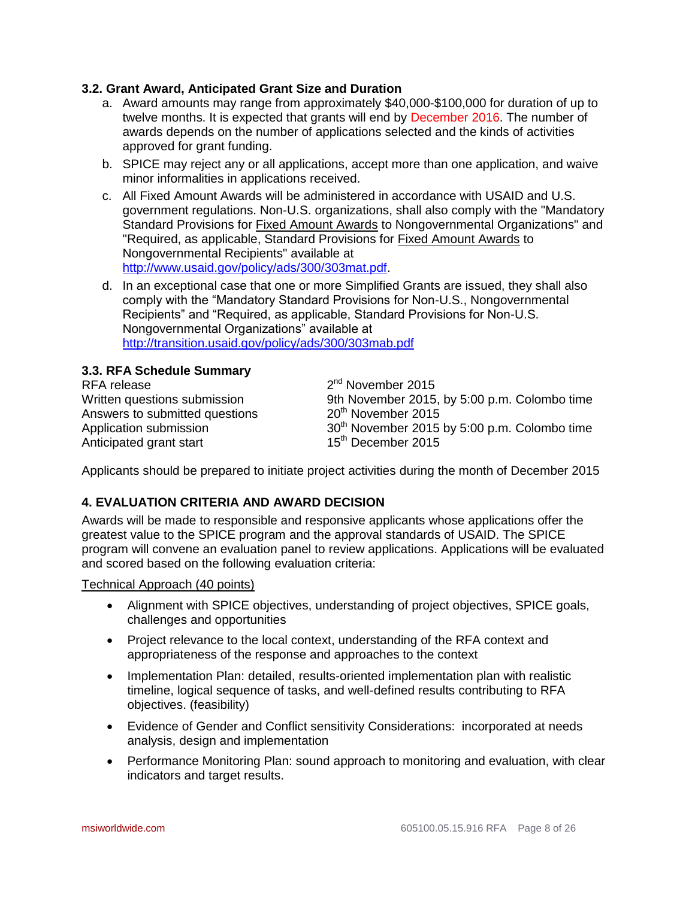### **3.2. Grant Award, Anticipated Grant Size and Duration**

- a. Award amounts may range from approximately \$40,000-\$100,000 for duration of up to twelve months. It is expected that grants will end by December 2016. The number of awards depends on the number of applications selected and the kinds of activities approved for grant funding.
- b. SPICE may reject any or all applications, accept more than one application, and waive minor informalities in applications received.
- c. All Fixed Amount Awards will be administered in accordance with USAID and U.S. government regulations. Non-U.S. organizations, shall also comply with the "Mandatory Standard Provisions for Fixed Amount Awards to Nongovernmental Organizations" and "Required, as applicable, Standard Provisions for Fixed Amount Awards to Nongovernmental Recipients" available at [http://www.usaid.gov/policy/ads/300/303mat.pdf.](http://www.usaid.gov/policy/ads/300/303mat.pdf)
- d. In an exceptional case that one or more Simplified Grants are issued, they shall also comply with the "Mandatory Standard Provisions for Non-U.S., Nongovernmental Recipients" and "Required, as applicable, Standard Provisions for Non-U.S. Nongovernmental Organizations" available at <http://transition.usaid.gov/policy/ads/300/303mab.pdf>

### **3.3. RFA Schedule Summary**

RFA release Answers to submitted questions  $20^{th}$  November 2015 Anticipated grant start 15<sup>th</sup> December 2015

 $2<sup>nd</sup>$  November 2015 Written questions submission 9th November 2015, by 5:00 p.m. Colombo time Application submission 30<sup>th</sup> November 2015 by 5:00 p.m. Colombo time

Applicants should be prepared to initiate project activities during the month of December 2015

# **4. EVALUATION CRITERIA AND AWARD DECISION**

Awards will be made to responsible and responsive applicants whose applications offer the greatest value to the SPICE program and the approval standards of USAID. The SPICE program will convene an evaluation panel to review applications. Applications will be evaluated and scored based on the following evaluation criteria:

Technical Approach (40 points)

- Alignment with SPICE objectives, understanding of project objectives, SPICE goals, challenges and opportunities
- Project relevance to the local context, understanding of the RFA context and appropriateness of the response and approaches to the context
- Implementation Plan: detailed, results-oriented implementation plan with realistic timeline, logical sequence of tasks, and well-defined results contributing to RFA objectives. (feasibility)
- Evidence of Gender and Conflict sensitivity Considerations: incorporated at needs analysis, design and implementation
- Performance Monitoring Plan: sound approach to monitoring and evaluation, with clear indicators and target results.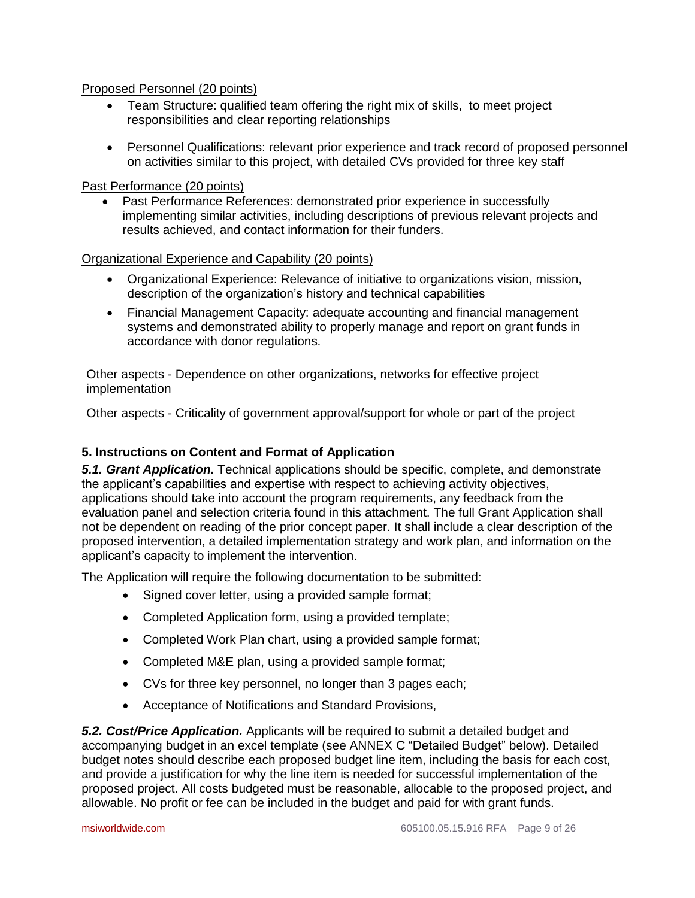Proposed Personnel (20 points)

- Team Structure: qualified team offering the right mix of skills, to meet project responsibilities and clear reporting relationships
- Personnel Qualifications: relevant prior experience and track record of proposed personnel on activities similar to this project, with detailed CVs provided for three key staff

## Past Performance (20 points)

 Past Performance References: demonstrated prior experience in successfully implementing similar activities, including descriptions of previous relevant projects and results achieved, and contact information for their funders.

#### Organizational Experience and Capability (20 points)

- Organizational Experience: Relevance of initiative to organizations vision, mission, description of the organization's history and technical capabilities
- Financial Management Capacity: adequate accounting and financial management systems and demonstrated ability to properly manage and report on grant funds in accordance with donor regulations.

Other aspects - Dependence on other organizations, networks for effective project implementation

Other aspects - Criticality of government approval/support for whole or part of the project

# **5. Instructions on Content and Format of Application**

*5.1. Grant Application.* Technical applications should be specific, complete, and demonstrate the applicant's capabilities and expertise with respect to achieving activity objectives, applications should take into account the program requirements, any feedback from the evaluation panel and selection criteria found in this attachment. The full Grant Application shall not be dependent on reading of the prior concept paper. It shall include a clear description of the proposed intervention, a detailed implementation strategy and work plan, and information on the applicant's capacity to implement the intervention.

The Application will require the following documentation to be submitted:

- Signed cover letter, using a provided sample format;
- Completed Application form, using a provided template;
- Completed Work Plan chart, using a provided sample format;
- Completed M&E plan, using a provided sample format;
- CVs for three key personnel, no longer than 3 pages each;
- Acceptance of Notifications and Standard Provisions,

*5.2. Cost/Price Application.* Applicants will be required to submit a detailed budget and accompanying budget in an excel template (see ANNEX C "Detailed Budget" below). Detailed budget notes should describe each proposed budget line item, including the basis for each cost, and provide a justification for why the line item is needed for successful implementation of the proposed project. All costs budgeted must be reasonable, allocable to the proposed project, and allowable. No profit or fee can be included in the budget and paid for with grant funds.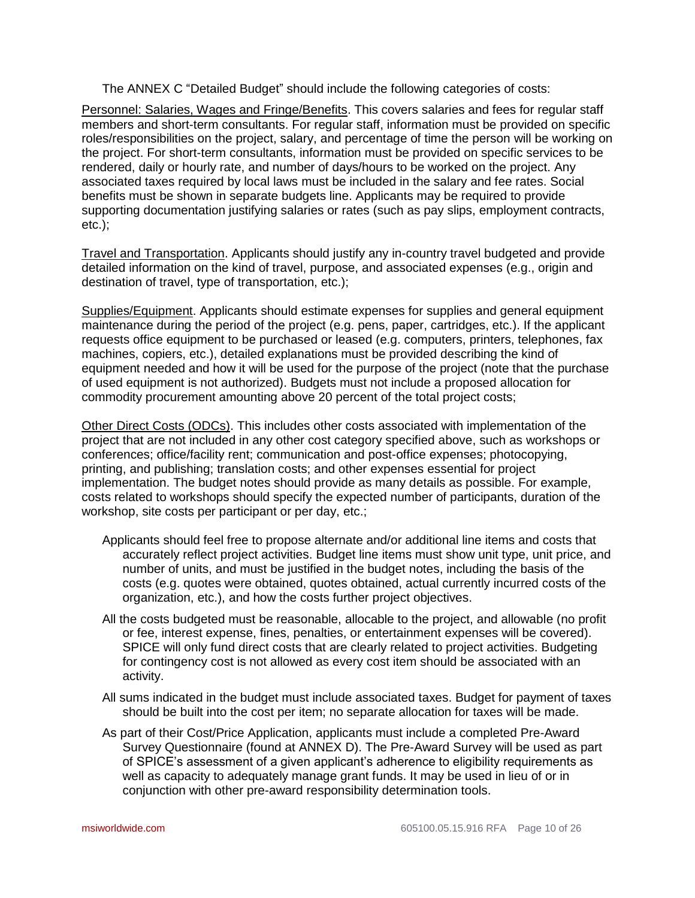The ANNEX C "Detailed Budget" should include the following categories of costs:

Personnel: Salaries, Wages and Fringe/Benefits. This covers salaries and fees for regular staff members and short-term consultants. For regular staff, information must be provided on specific roles/responsibilities on the project, salary, and percentage of time the person will be working on the project. For short-term consultants, information must be provided on specific services to be rendered, daily or hourly rate, and number of days/hours to be worked on the project. Any associated taxes required by local laws must be included in the salary and fee rates. Social benefits must be shown in separate budgets line. Applicants may be required to provide supporting documentation justifying salaries or rates (such as pay slips, employment contracts, etc.);

Travel and Transportation. Applicants should justify any in-country travel budgeted and provide detailed information on the kind of travel, purpose, and associated expenses (e.g., origin and destination of travel, type of transportation, etc.);

Supplies/Equipment. Applicants should estimate expenses for supplies and general equipment maintenance during the period of the project (e.g. pens, paper, cartridges, etc.). If the applicant requests office equipment to be purchased or leased (e.g. computers, printers, telephones, fax machines, copiers, etc.), detailed explanations must be provided describing the kind of equipment needed and how it will be used for the purpose of the project (note that the purchase of used equipment is not authorized). Budgets must not include a proposed allocation for commodity procurement amounting above 20 percent of the total project costs;

Other Direct Costs (ODCs). This includes other costs associated with implementation of the project that are not included in any other cost category specified above, such as workshops or conferences; office/facility rent; communication and post-office expenses; photocopying, printing, and publishing; translation costs; and other expenses essential for project implementation. The budget notes should provide as many details as possible. For example, costs related to workshops should specify the expected number of participants, duration of the workshop, site costs per participant or per day, etc.;

- Applicants should feel free to propose alternate and/or additional line items and costs that accurately reflect project activities. Budget line items must show unit type, unit price, and number of units, and must be justified in the budget notes, including the basis of the costs (e.g. quotes were obtained, quotes obtained, actual currently incurred costs of the organization, etc.), and how the costs further project objectives.
- All the costs budgeted must be reasonable, allocable to the project, and allowable (no profit or fee, interest expense, fines, penalties, or entertainment expenses will be covered). SPICE will only fund direct costs that are clearly related to project activities. Budgeting for contingency cost is not allowed as every cost item should be associated with an activity.
- All sums indicated in the budget must include associated taxes. Budget for payment of taxes should be built into the cost per item; no separate allocation for taxes will be made.
- As part of their Cost/Price Application, applicants must include a completed Pre-Award Survey Questionnaire (found at ANNEX D). The Pre-Award Survey will be used as part of SPICE's assessment of a given applicant's adherence to eligibility requirements as well as capacity to adequately manage grant funds. It may be used in lieu of or in conjunction with other pre-award responsibility determination tools.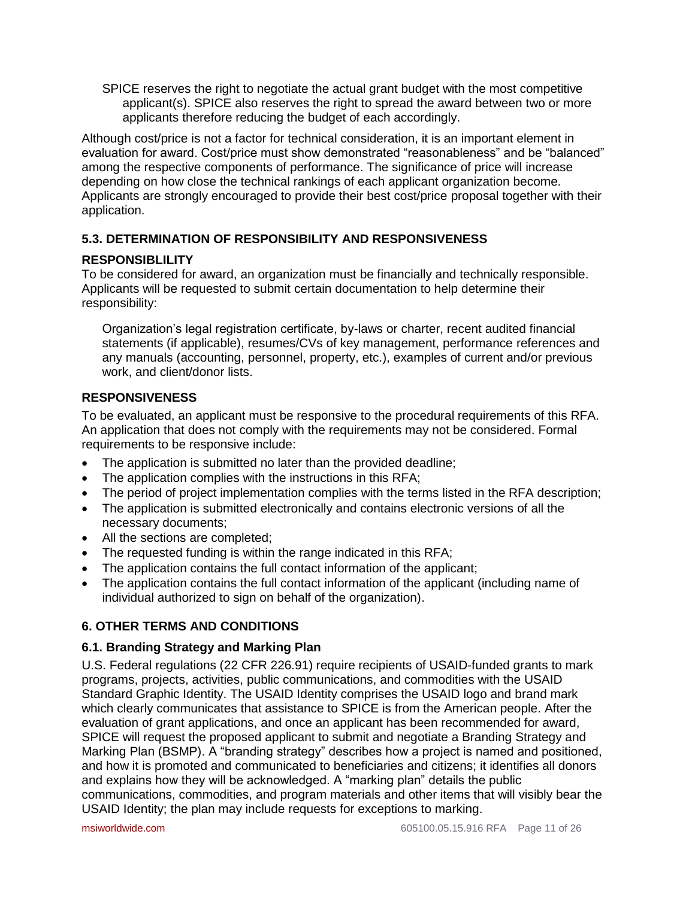SPICE reserves the right to negotiate the actual grant budget with the most competitive applicant(s). SPICE also reserves the right to spread the award between two or more applicants therefore reducing the budget of each accordingly.

Although cost/price is not a factor for technical consideration, it is an important element in evaluation for award. Cost/price must show demonstrated "reasonableness" and be "balanced" among the respective components of performance. The significance of price will increase depending on how close the technical rankings of each applicant organization become. Applicants are strongly encouraged to provide their best cost/price proposal together with their application.

# **5.3. DETERMINATION OF RESPONSIBILITY AND RESPONSIVENESS**

# **RESPONSIBLILITY**

To be considered for award, an organization must be financially and technically responsible. Applicants will be requested to submit certain documentation to help determine their responsibility:

Organization's legal registration certificate, by-laws or charter, recent audited financial statements (if applicable), resumes/CVs of key management, performance references and any manuals (accounting, personnel, property, etc.), examples of current and/or previous work, and client/donor lists.

# **RESPONSIVENESS**

To be evaluated, an applicant must be responsive to the procedural requirements of this RFA. An application that does not comply with the requirements may not be considered. Formal requirements to be responsive include:

- The application is submitted no later than the provided deadline;
- The application complies with the instructions in this RFA;
- The period of project implementation complies with the terms listed in the RFA description;
- The application is submitted electronically and contains electronic versions of all the necessary documents;
- All the sections are completed;
- The requested funding is within the range indicated in this RFA;
- The application contains the full contact information of the applicant;
- The application contains the full contact information of the applicant (including name of individual authorized to sign on behalf of the organization).

# **6. OTHER TERMS AND CONDITIONS**

# **6.1. Branding Strategy and Marking Plan**

U.S. Federal regulations (22 CFR 226.91) require recipients of USAID-funded grants to mark programs, projects, activities, public communications, and commodities with the USAID Standard Graphic Identity. The USAID Identity comprises the USAID logo and brand mark which clearly communicates that assistance to SPICE is from the American people. After the evaluation of grant applications, and once an applicant has been recommended for award, SPICE will request the proposed applicant to submit and negotiate a Branding Strategy and Marking Plan (BSMP). A "branding strategy" describes how a project is named and positioned, and how it is promoted and communicated to beneficiaries and citizens; it identifies all donors and explains how they will be acknowledged. A "marking plan" details the public communications, commodities, and program materials and other items that will visibly bear the USAID Identity; the plan may include requests for exceptions to marking.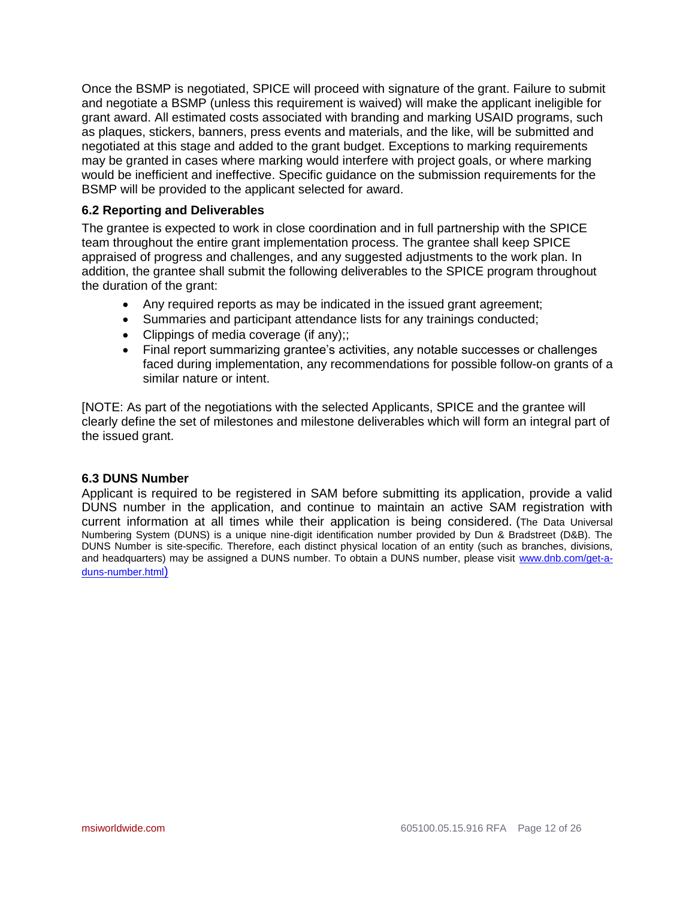Once the BSMP is negotiated, SPICE will proceed with signature of the grant. Failure to submit and negotiate a BSMP (unless this requirement is waived) will make the applicant ineligible for grant award. All estimated costs associated with branding and marking USAID programs, such as plaques, stickers, banners, press events and materials, and the like, will be submitted and negotiated at this stage and added to the grant budget. Exceptions to marking requirements may be granted in cases where marking would interfere with project goals, or where marking would be inefficient and ineffective. Specific guidance on the submission requirements for the BSMP will be provided to the applicant selected for award.

## **6.2 Reporting and Deliverables**

The grantee is expected to work in close coordination and in full partnership with the SPICE team throughout the entire grant implementation process. The grantee shall keep SPICE appraised of progress and challenges, and any suggested adjustments to the work plan. In addition, the grantee shall submit the following deliverables to the SPICE program throughout the duration of the grant:

- Any required reports as may be indicated in the issued grant agreement;
- Summaries and participant attendance lists for any trainings conducted;
- Clippings of media coverage (if any):
- Final report summarizing grantee's activities, any notable successes or challenges faced during implementation, any recommendations for possible follow-on grants of a similar nature or intent.

[NOTE: As part of the negotiations with the selected Applicants, SPICE and the grantee will clearly define the set of milestones and milestone deliverables which will form an integral part of the issued grant.

#### **6.3 DUNS Number**

Applicant is required to be registered in SAM before submitting its application, provide a valid DUNS number in the application, and continue to maintain an active SAM registration with current information at all times while their application is being considered. (The Data Universal Numbering System (DUNS) is a unique nine-digit identification number provided by Dun & Bradstreet (D&B). The DUNS Number is site-specific. Therefore, each distinct physical location of an entity (such as branches, divisions, and headquarters) may be assigned a DUNS number. To obtain a DUNS number, please visit [www.dnb.com/get-a](http://www.dnb.com/get-a-duns-number.html)[duns-number.html](http://www.dnb.com/get-a-duns-number.html))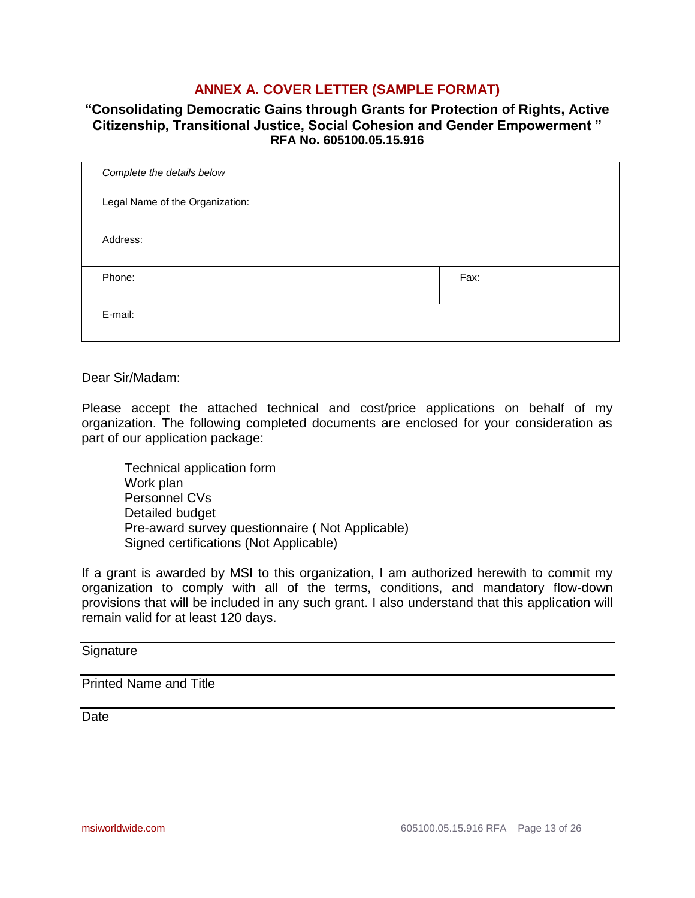# **ANNEX A. COVER LETTER (SAMPLE FORMAT)**

# **"Consolidating Democratic Gains through Grants for Protection of Rights, Active Citizenship, Transitional Justice, Social Cohesion and Gender Empowerment " RFA No. 605100.05.15.916**

| Complete the details below      |      |
|---------------------------------|------|
| Legal Name of the Organization: |      |
| Address:                        |      |
| Phone:                          | Fax: |
| E-mail:                         |      |

Dear Sir/Madam:

Please accept the attached technical and cost/price applications on behalf of my organization. The following completed documents are enclosed for your consideration as part of our application package:

Technical application form Work plan Personnel CVs Detailed budget Pre-award survey questionnaire ( Not Applicable) Signed certifications (Not Applicable)

If a grant is awarded by MSI to this organization, I am authorized herewith to commit my organization to comply with all of the terms, conditions, and mandatory flow-down provisions that will be included in any such grant. I also understand that this application will remain valid for at least 120 days.

# **Signature**

# Printed Name and Title

Date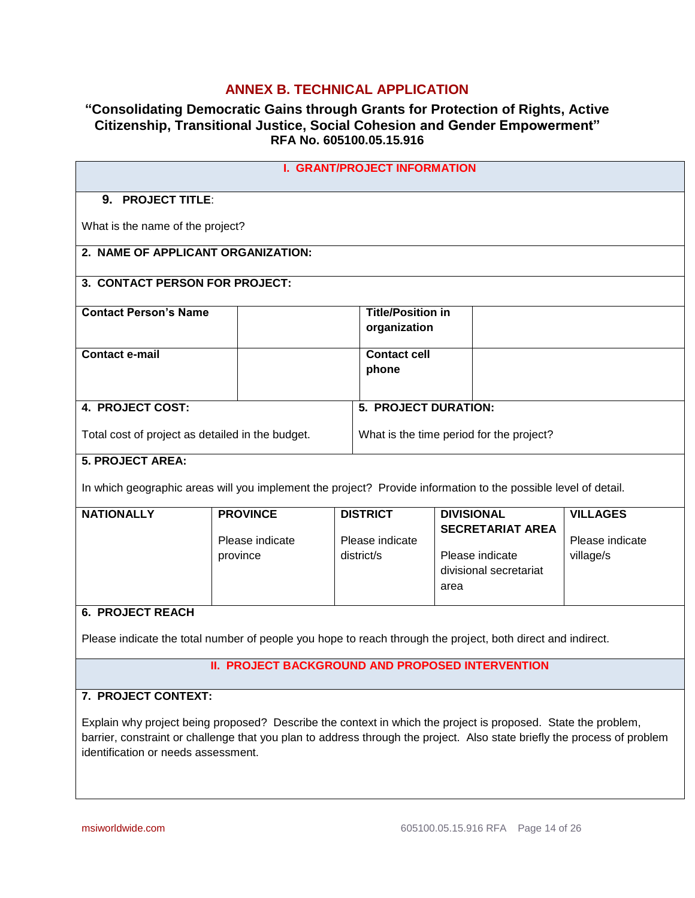# **ANNEX B. TECHNICAL APPLICATION**

# **"Consolidating Democratic Gains through Grants for Protection of Rights, Active Citizenship, Transitional Justice, Social Cohesion and Gender Empowerment" RFA No. 605100.05.15.916**

| <b>I. GRANT/PROJECT INFORMATION</b>                                                                                                                                                                                                                                              |                                                         |  |                                          |      |                                              |                                    |  |  |
|----------------------------------------------------------------------------------------------------------------------------------------------------------------------------------------------------------------------------------------------------------------------------------|---------------------------------------------------------|--|------------------------------------------|------|----------------------------------------------|------------------------------------|--|--|
| 9. PROJECT TITLE:                                                                                                                                                                                                                                                                |                                                         |  |                                          |      |                                              |                                    |  |  |
|                                                                                                                                                                                                                                                                                  | What is the name of the project?                        |  |                                          |      |                                              |                                    |  |  |
| 2. NAME OF APPLICANT ORGANIZATION:                                                                                                                                                                                                                                               |                                                         |  |                                          |      |                                              |                                    |  |  |
| 3. CONTACT PERSON FOR PROJECT:                                                                                                                                                                                                                                                   |                                                         |  |                                          |      |                                              |                                    |  |  |
| <b>Contact Person's Name</b>                                                                                                                                                                                                                                                     |                                                         |  | <b>Title/Position in</b><br>organization |      |                                              |                                    |  |  |
| <b>Contact e-mail</b>                                                                                                                                                                                                                                                            |                                                         |  | <b>Contact cell</b><br>phone             |      |                                              |                                    |  |  |
| 4. PROJECT COST:                                                                                                                                                                                                                                                                 |                                                         |  | 5. PROJECT DURATION:                     |      |                                              |                                    |  |  |
| Total cost of project as detailed in the budget.                                                                                                                                                                                                                                 |                                                         |  |                                          |      | What is the time period for the project?     |                                    |  |  |
| <b>5. PROJECT AREA:</b>                                                                                                                                                                                                                                                          |                                                         |  |                                          |      |                                              |                                    |  |  |
| In which geographic areas will you implement the project? Provide information to the possible level of detail.                                                                                                                                                                   |                                                         |  |                                          |      |                                              |                                    |  |  |
| <b>NATIONALLY</b>                                                                                                                                                                                                                                                                | <b>PROVINCE</b><br>Please indicate                      |  | <b>DISTRICT</b><br>Please indicate       |      | <b>DIVISIONAL</b><br><b>SECRETARIAT AREA</b> | <b>VILLAGES</b><br>Please indicate |  |  |
|                                                                                                                                                                                                                                                                                  | province                                                |  | district/s                               | area | Please indicate<br>divisional secretariat    | village/s                          |  |  |
| <b>6. PROJECT REACH</b>                                                                                                                                                                                                                                                          |                                                         |  |                                          |      |                                              |                                    |  |  |
| Please indicate the total number of people you hope to reach through the project, both direct and indirect.                                                                                                                                                                      |                                                         |  |                                          |      |                                              |                                    |  |  |
|                                                                                                                                                                                                                                                                                  | <b>II. PROJECT BACKGROUND AND PROPOSED INTERVENTION</b> |  |                                          |      |                                              |                                    |  |  |
| 7. PROJECT CONTEXT:                                                                                                                                                                                                                                                              |                                                         |  |                                          |      |                                              |                                    |  |  |
| Explain why project being proposed? Describe the context in which the project is proposed. State the problem,<br>barrier, constraint or challenge that you plan to address through the project. Also state briefly the process of problem<br>identification or needs assessment. |                                                         |  |                                          |      |                                              |                                    |  |  |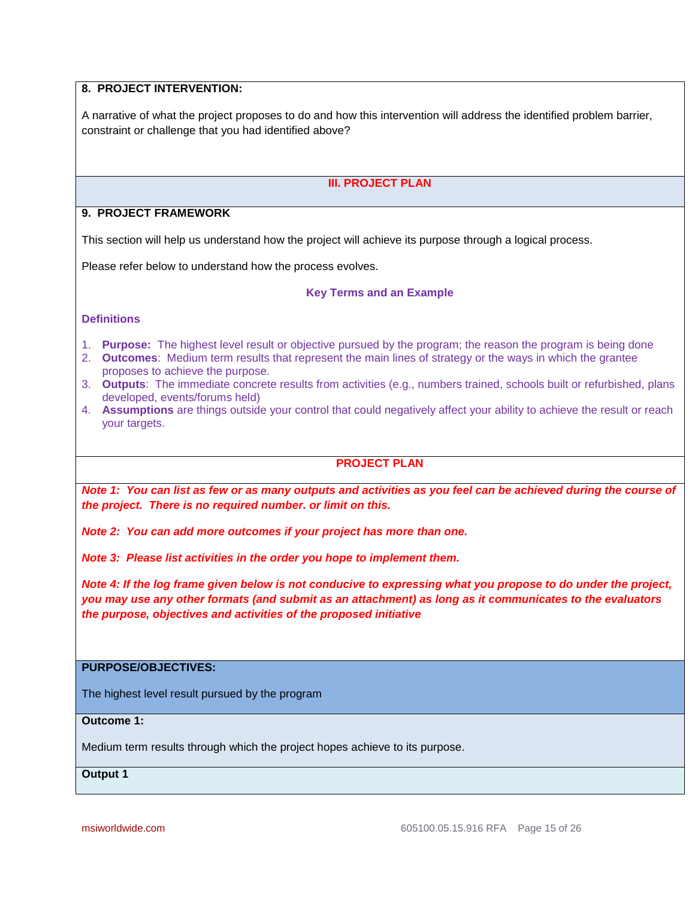# **8. PROJECT INTERVENTION:**

A narrative of what the project proposes to do and how this intervention will address the identified problem barrier, constraint or challenge that you had identified above?

#### **III. PROJECT PLAN**

#### **9. PROJECT FRAMEWORK**

This section will help us understand how the project will achieve its purpose through a logical process.

Please refer below to understand how the process evolves.

#### **Key Terms and an Example**

#### **Definitions**

- 1. **Purpose:** The highest level result or objective pursued by the program; the reason the program is being done
- 2. **Outcomes**: Medium term results that represent the main lines of strategy or the ways in which the grantee proposes to achieve the purpose.
- 3. **Outputs**: The immediate concrete results from activities (e.g., numbers trained, schools built or refurbished, plans developed, events/forums held)
- 4. **Assumptions** are things outside your control that could negatively affect your ability to achieve the result or reach your targets.

#### **PROJECT PLAN**

*Note 1: You can list as few or as many outputs and activities as you feel can be achieved during the course of the project. There is no required number. or limit on this.*

*Note 2: You can add more outcomes if your project has more than one.*

*Note 3: Please list activities in the order you hope to implement them.* 

*Note 4: If the log frame given below is not conducive to expressing what you propose to do under the project, you may use any other formats (and submit as an attachment) as long as it communicates to the evaluators the purpose, objectives and activities of the proposed initiative*

# **PURPOSE/OBJECTIVES:**

The highest level result pursued by the program

**Outcome 1:**

Medium term results through which the project hopes achieve to its purpose.

**Output 1**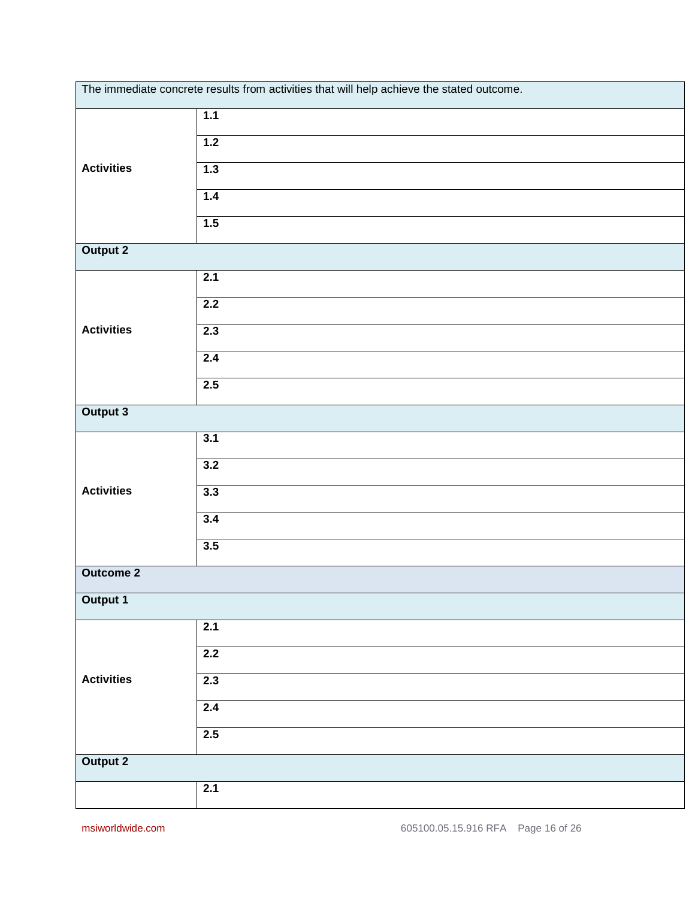| The immediate concrete results from activities that will help achieve the stated outcome. |     |  |  |  |  |
|-------------------------------------------------------------------------------------------|-----|--|--|--|--|
|                                                                                           | 1.1 |  |  |  |  |
|                                                                                           | 1.2 |  |  |  |  |
| <b>Activities</b>                                                                         | 1.3 |  |  |  |  |
|                                                                                           | 1.4 |  |  |  |  |
|                                                                                           | 1.5 |  |  |  |  |
| <b>Output 2</b>                                                                           |     |  |  |  |  |
|                                                                                           | 2.1 |  |  |  |  |
|                                                                                           | 2.2 |  |  |  |  |
| <b>Activities</b>                                                                         | 2.3 |  |  |  |  |
|                                                                                           | 2.4 |  |  |  |  |
|                                                                                           | 2.5 |  |  |  |  |
| Output 3                                                                                  |     |  |  |  |  |
|                                                                                           | 3.1 |  |  |  |  |
|                                                                                           | 3.2 |  |  |  |  |
| <b>Activities</b>                                                                         | 3.3 |  |  |  |  |
|                                                                                           | 3.4 |  |  |  |  |
|                                                                                           | 3.5 |  |  |  |  |
| <b>Outcome 2</b>                                                                          |     |  |  |  |  |
| Output 1                                                                                  |     |  |  |  |  |
|                                                                                           | 2.1 |  |  |  |  |
|                                                                                           | 2.2 |  |  |  |  |
| <b>Activities</b>                                                                         | 2.3 |  |  |  |  |
|                                                                                           | 2.4 |  |  |  |  |
|                                                                                           | 2.5 |  |  |  |  |
| <b>Output 2</b>                                                                           |     |  |  |  |  |
|                                                                                           | 2.1 |  |  |  |  |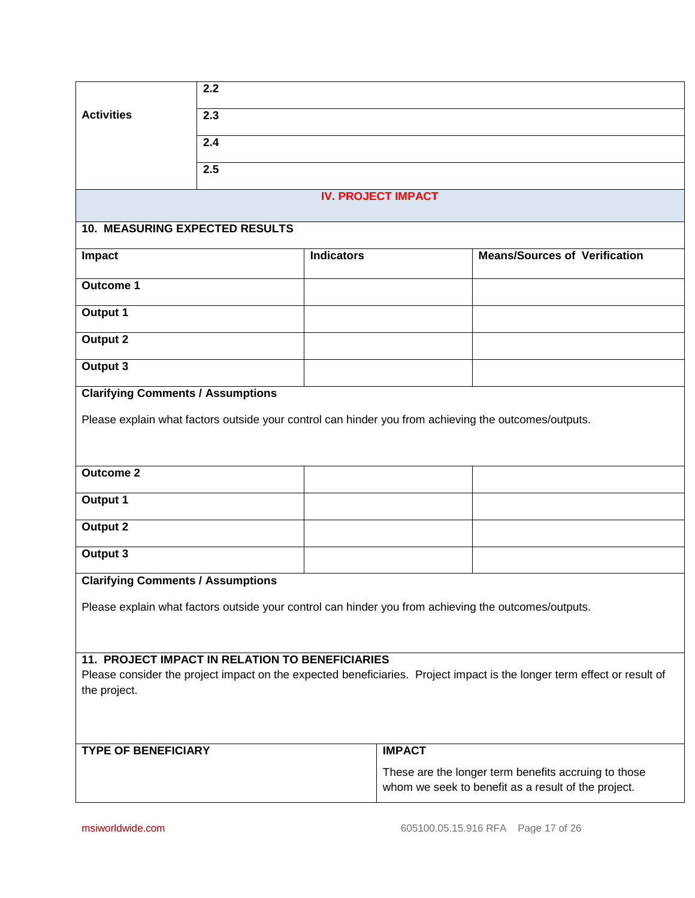|                                          | $\overline{2.2}$                                |                           |                                                                                                                         |  |
|------------------------------------------|-------------------------------------------------|---------------------------|-------------------------------------------------------------------------------------------------------------------------|--|
| <b>Activities</b>                        | 2.3                                             |                           |                                                                                                                         |  |
|                                          | 2.4                                             |                           |                                                                                                                         |  |
|                                          | 2.5                                             |                           |                                                                                                                         |  |
|                                          |                                                 | <b>IV. PROJECT IMPACT</b> |                                                                                                                         |  |
| <b>10. MEASURING EXPECTED RESULTS</b>    |                                                 |                           |                                                                                                                         |  |
| Impact                                   |                                                 | <b>Indicators</b>         | <b>Means/Sources of Verification</b>                                                                                    |  |
| <b>Outcome 1</b>                         |                                                 |                           |                                                                                                                         |  |
| <b>Output 1</b>                          |                                                 |                           |                                                                                                                         |  |
| <b>Output 2</b>                          |                                                 |                           |                                                                                                                         |  |
| Output 3                                 |                                                 |                           |                                                                                                                         |  |
| <b>Clarifying Comments / Assumptions</b> |                                                 |                           |                                                                                                                         |  |
|                                          |                                                 |                           | Please explain what factors outside your control can hinder you from achieving the outcomes/outputs.                    |  |
|                                          |                                                 |                           |                                                                                                                         |  |
| <b>Outcome 2</b>                         |                                                 |                           |                                                                                                                         |  |
| Output 1                                 |                                                 |                           |                                                                                                                         |  |
| <b>Output 2</b>                          |                                                 |                           |                                                                                                                         |  |
| <b>Output 3</b>                          |                                                 |                           |                                                                                                                         |  |
| <b>Clarifying Comments / Assumptions</b> |                                                 |                           |                                                                                                                         |  |
|                                          |                                                 |                           | Please explain what factors outside your control can hinder you from achieving the outcomes/outputs.                    |  |
|                                          |                                                 |                           |                                                                                                                         |  |
|                                          | 11. PROJECT IMPACT IN RELATION TO BENEFICIARIES |                           |                                                                                                                         |  |
| the project.                             |                                                 |                           | Please consider the project impact on the expected beneficiaries. Project impact is the longer term effect or result of |  |
|                                          |                                                 |                           |                                                                                                                         |  |
|                                          |                                                 |                           |                                                                                                                         |  |
| <b>TYPE OF BENEFICIARY</b>               |                                                 | <b>IMPACT</b>             |                                                                                                                         |  |
|                                          |                                                 |                           | These are the longer term benefits accruing to those<br>whom we seek to benefit as a result of the project.             |  |
|                                          |                                                 |                           |                                                                                                                         |  |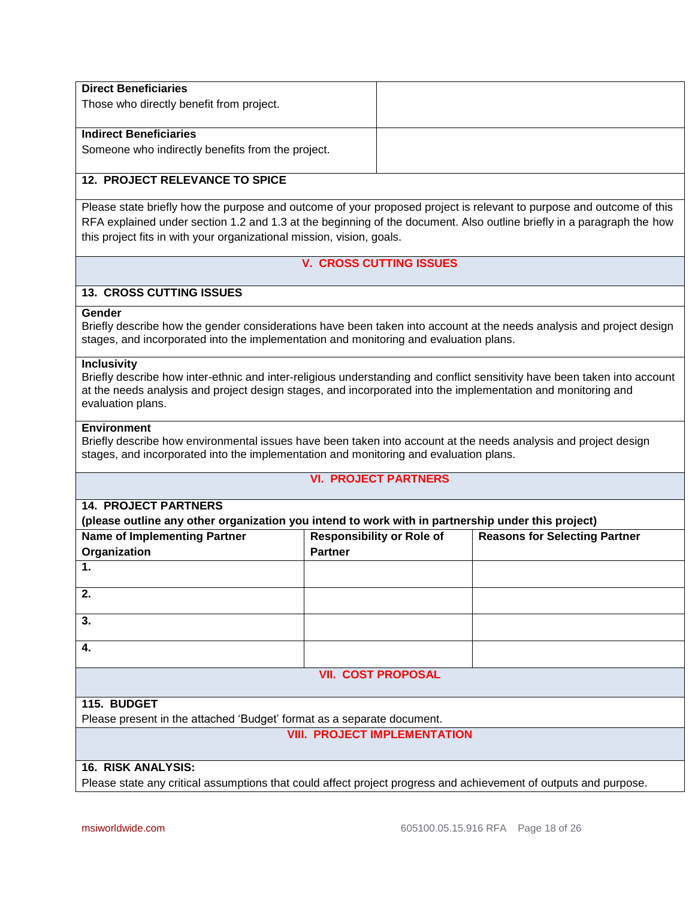| <b>Direct Beneficiaries</b><br>Those who directly benefit from project.            |  |
|------------------------------------------------------------------------------------|--|
| <b>Indirect Beneficiaries</b><br>Someone who indirectly benefits from the project. |  |

### **12. PROJECT RELEVANCE TO SPICE**

Please state briefly how the purpose and outcome of your proposed project is relevant to purpose and outcome of this RFA explained under section 1.2 and 1.3 at the beginning of the document. Also outline briefly in a paragraph the how this project fits in with your organizational mission, vision, goals.

# **V. CROSS CUTTING ISSUES**

### **13. CROSS CUTTING ISSUES**

#### **Gender**

Briefly describe how the gender considerations have been taken into account at the needs analysis and project design stages, and incorporated into the implementation and monitoring and evaluation plans.

#### **Inclusivity**

Briefly describe how inter-ethnic and inter-religious understanding and conflict sensitivity have been taken into account at the needs analysis and project design stages, and incorporated into the implementation and monitoring and evaluation plans.

#### **Environment**

Briefly describe how environmental issues have been taken into account at the needs analysis and project design stages, and incorporated into the implementation and monitoring and evaluation plans.

#### **VI. PROJECT PARTNERS**

#### **14. PROJECT PARTNERS**

**(please outline any other organization you intend to work with in partnership under this project)**

| <b>Name of Implementing Partner</b>                                    | <b>Responsibility or Role of</b> | <b>Reasons for Selecting Partner</b> |
|------------------------------------------------------------------------|----------------------------------|--------------------------------------|
| Organization                                                           | <b>Partner</b>                   |                                      |
| 1.                                                                     |                                  |                                      |
| 2.                                                                     |                                  |                                      |
| 3.                                                                     |                                  |                                      |
| 4.                                                                     |                                  |                                      |
|                                                                        | <b>VII. COST PROPOSAL</b>        |                                      |
|                                                                        |                                  |                                      |
| 115. BUDGET                                                            |                                  |                                      |
| Please present in the attached 'Budget' format as a separate document. |                                  |                                      |

#### **VIII. PROJECT IMPLEMENTATION**

#### **16. RISK ANALYSIS:**

Please state any critical assumptions that could affect project progress and achievement of outputs and purpose.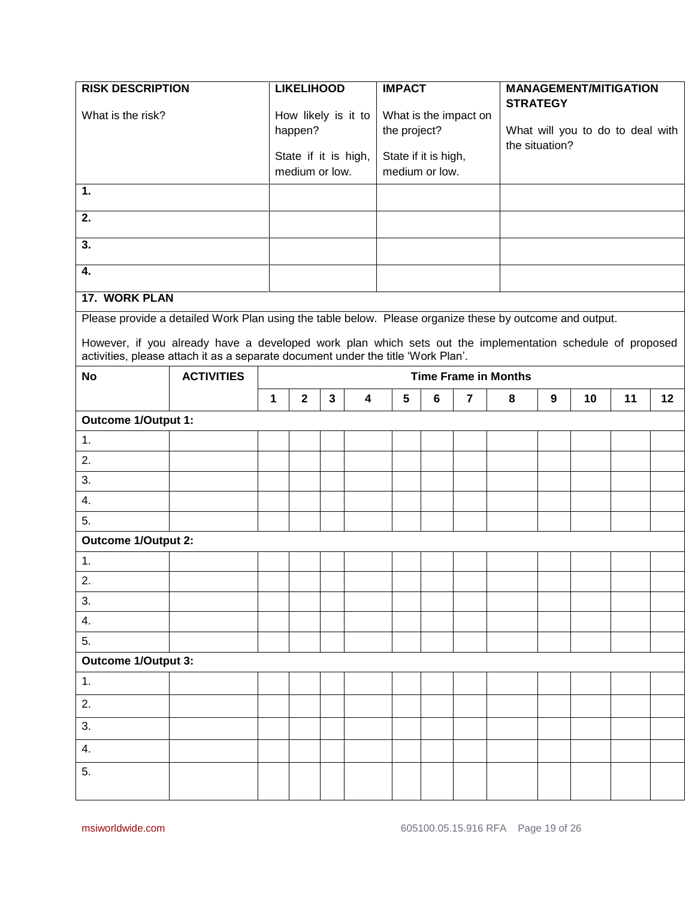| <b>RISK DESCRIPTION</b>    |                                                                                                                                                                                               |                      | <b>LIKELIHOOD</b>       |   |   | <b>IMPACT</b>        |                |                                  |                             |                 | <b>MANAGEMENT/MITIGATION</b> |    |    |
|----------------------------|-----------------------------------------------------------------------------------------------------------------------------------------------------------------------------------------------|----------------------|-------------------------|---|---|----------------------|----------------|----------------------------------|-----------------------------|-----------------|------------------------------|----|----|
| What is the risk?          |                                                                                                                                                                                               |                      | How likely is it to     |   |   |                      |                | What is the impact on            |                             | <b>STRATEGY</b> |                              |    |    |
|                            |                                                                                                                                                                                               |                      | happen?<br>the project? |   |   | the situation?       |                | What will you to do to deal with |                             |                 |                              |    |    |
|                            |                                                                                                                                                                                               | State if it is high, |                         |   |   | State if it is high, |                |                                  |                             |                 |                              |    |    |
|                            |                                                                                                                                                                                               |                      | medium or low.          |   |   |                      | medium or low. |                                  |                             |                 |                              |    |    |
| 1.                         |                                                                                                                                                                                               |                      |                         |   |   |                      |                |                                  |                             |                 |                              |    |    |
| 2.                         |                                                                                                                                                                                               |                      |                         |   |   |                      |                |                                  |                             |                 |                              |    |    |
| 3.                         |                                                                                                                                                                                               |                      |                         |   |   |                      |                |                                  |                             |                 |                              |    |    |
| 4.                         |                                                                                                                                                                                               |                      |                         |   |   |                      |                |                                  |                             |                 |                              |    |    |
| 17. WORK PLAN              |                                                                                                                                                                                               |                      |                         |   |   |                      |                |                                  |                             |                 |                              |    |    |
|                            | Please provide a detailed Work Plan using the table below. Please organize these by outcome and output.                                                                                       |                      |                         |   |   |                      |                |                                  |                             |                 |                              |    |    |
|                            | However, if you already have a developed work plan which sets out the implementation schedule of proposed<br>activities, please attach it as a separate document under the title 'Work Plan'. |                      |                         |   |   |                      |                |                                  |                             |                 |                              |    |    |
| <b>No</b>                  | <b>ACTIVITIES</b>                                                                                                                                                                             |                      |                         |   |   |                      |                |                                  | <b>Time Frame in Months</b> |                 |                              |    |    |
|                            |                                                                                                                                                                                               | 1                    | $\mathbf{2}$            | 3 | 4 | 5                    | 6              | 7                                | 8                           | 9               | 10                           | 11 | 12 |
| Outcome 1/Output 1:        |                                                                                                                                                                                               |                      |                         |   |   |                      |                |                                  |                             |                 |                              |    |    |
| 1.                         |                                                                                                                                                                                               |                      |                         |   |   |                      |                |                                  |                             |                 |                              |    |    |
| 2.                         |                                                                                                                                                                                               |                      |                         |   |   |                      |                |                                  |                             |                 |                              |    |    |
| 3.                         |                                                                                                                                                                                               |                      |                         |   |   |                      |                |                                  |                             |                 |                              |    |    |
| 4.                         |                                                                                                                                                                                               |                      |                         |   |   |                      |                |                                  |                             |                 |                              |    |    |
| 5.                         |                                                                                                                                                                                               |                      |                         |   |   |                      |                |                                  |                             |                 |                              |    |    |
| <b>Outcome 1/Output 2:</b> |                                                                                                                                                                                               |                      |                         |   |   |                      |                |                                  |                             |                 |                              |    |    |
| 1.                         |                                                                                                                                                                                               |                      |                         |   |   |                      |                |                                  |                             |                 |                              |    |    |
| 2.                         |                                                                                                                                                                                               |                      |                         |   |   |                      |                |                                  |                             |                 |                              |    |    |
| 3.                         |                                                                                                                                                                                               |                      |                         |   |   |                      |                |                                  |                             |                 |                              |    |    |
| 4.                         |                                                                                                                                                                                               |                      |                         |   |   |                      |                |                                  |                             |                 |                              |    |    |
| 5.                         |                                                                                                                                                                                               |                      |                         |   |   |                      |                |                                  |                             |                 |                              |    |    |
| Outcome 1/Output 3:        |                                                                                                                                                                                               |                      |                         |   |   |                      |                |                                  |                             |                 |                              |    |    |
| 1.                         |                                                                                                                                                                                               |                      |                         |   |   |                      |                |                                  |                             |                 |                              |    |    |
| 2.                         |                                                                                                                                                                                               |                      |                         |   |   |                      |                |                                  |                             |                 |                              |    |    |
| 3.                         |                                                                                                                                                                                               |                      |                         |   |   |                      |                |                                  |                             |                 |                              |    |    |
| 4.                         |                                                                                                                                                                                               |                      |                         |   |   |                      |                |                                  |                             |                 |                              |    |    |
| 5.                         |                                                                                                                                                                                               |                      |                         |   |   |                      |                |                                  |                             |                 |                              |    |    |
|                            |                                                                                                                                                                                               |                      |                         |   |   |                      |                |                                  |                             |                 |                              |    |    |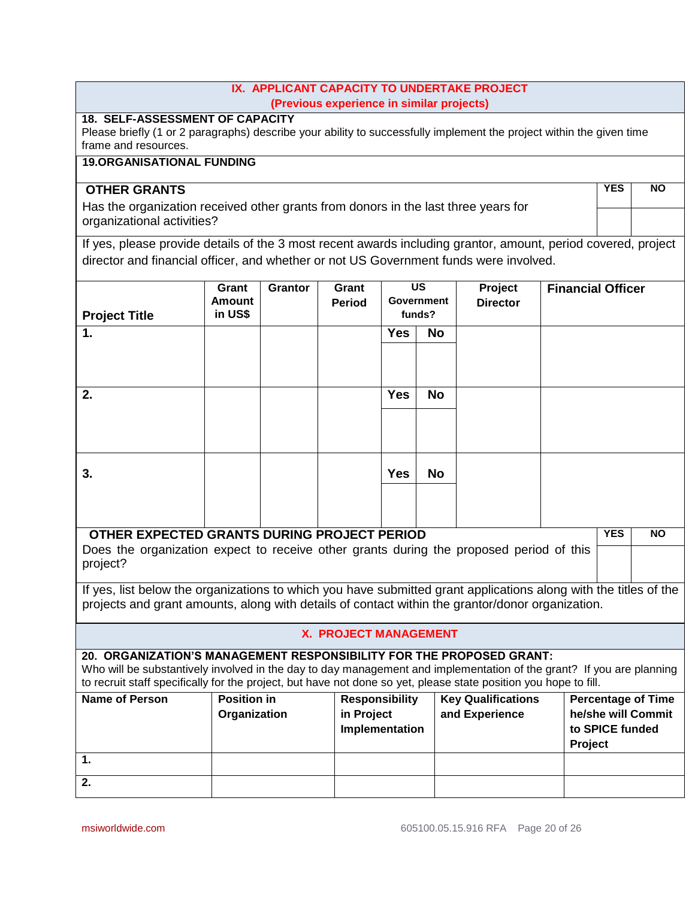## **IX. APPLICANT CAPACITY TO UNDERTAKE PROJECT (Previous experience in similar projects)**

# **18. SELF-ASSESSMENT OF CAPACITY**

Please briefly (1 or 2 paragraphs) describe your ability to successfully implement the project within the given time frame and resources.

# **19.ORGANISATIONAL FUNDING**

# **OTHER GRANTS**

Has the organization received other grants from donors in the last three years for organizational activities?

**YES NO**

If yes, please provide details of the 3 most recent awards including grantor, amount, period covered, project director and financial officer, and whether or not US Government funds were involved.

|                                                                                                                  | Grant<br><b>Amount</b> | <b>Grantor</b> | Grant                        |            | <b>US</b><br><b>Government</b> | Project                   | <b>Financial Officer</b>                                                                                             |
|------------------------------------------------------------------------------------------------------------------|------------------------|----------------|------------------------------|------------|--------------------------------|---------------------------|----------------------------------------------------------------------------------------------------------------------|
| <b>Project Title</b>                                                                                             | in US\$                |                | <b>Period</b>                | funds?     |                                | <b>Director</b>           |                                                                                                                      |
| 1.                                                                                                               |                        |                |                              | <b>Yes</b> | <b>No</b>                      |                           |                                                                                                                      |
|                                                                                                                  |                        |                |                              |            |                                |                           |                                                                                                                      |
|                                                                                                                  |                        |                |                              |            |                                |                           |                                                                                                                      |
| 2.                                                                                                               |                        |                |                              | <b>Yes</b> | <b>No</b>                      |                           |                                                                                                                      |
|                                                                                                                  |                        |                |                              |            |                                |                           |                                                                                                                      |
|                                                                                                                  |                        |                |                              |            |                                |                           |                                                                                                                      |
|                                                                                                                  |                        |                |                              |            |                                |                           |                                                                                                                      |
| 3.                                                                                                               |                        |                |                              | <b>Yes</b> | <b>No</b>                      |                           |                                                                                                                      |
|                                                                                                                  |                        |                |                              |            |                                |                           |                                                                                                                      |
| OTHER EXPECTED GRANTS DURING PROJECT PERIOD                                                                      |                        |                |                              |            |                                |                           | <b>YES</b><br><b>NO</b>                                                                                              |
| Does the organization expect to receive other grants during the proposed period of this                          |                        |                |                              |            |                                |                           |                                                                                                                      |
| project?                                                                                                         |                        |                |                              |            |                                |                           |                                                                                                                      |
|                                                                                                                  |                        |                |                              |            |                                |                           | If yes, list below the organizations to which you have submitted grant applications along with the titles of the     |
| projects and grant amounts, along with details of contact within the grantor/donor organization.                 |                        |                |                              |            |                                |                           |                                                                                                                      |
|                                                                                                                  |                        |                | <b>X. PROJECT MANAGEMENT</b> |            |                                |                           |                                                                                                                      |
| 20. ORGANIZATION'S MANAGEMENT RESPONSIBILITY FOR THE PROPOSED GRANT:                                             |                        |                |                              |            |                                |                           |                                                                                                                      |
| to recruit staff specifically for the project, but have not done so yet, please state position you hope to fill. |                        |                |                              |            |                                |                           | Who will be substantively involved in the day to day management and implementation of the grant? If you are planning |
| <b>Name of Person</b>                                                                                            | <b>Position in</b>     |                | <b>Responsibility</b>        |            |                                | <b>Key Qualifications</b> | <b>Percentage of Time</b>                                                                                            |
|                                                                                                                  | Organization           |                | in Project                   |            |                                | and Experience            | he/she will Commit                                                                                                   |
|                                                                                                                  |                        |                | Implementation               |            |                                |                           | to SPICE funded<br>Project                                                                                           |
| $\mathbf{1}$                                                                                                     |                        |                |                              |            |                                |                           |                                                                                                                      |
| 2.                                                                                                               |                        |                |                              |            |                                |                           |                                                                                                                      |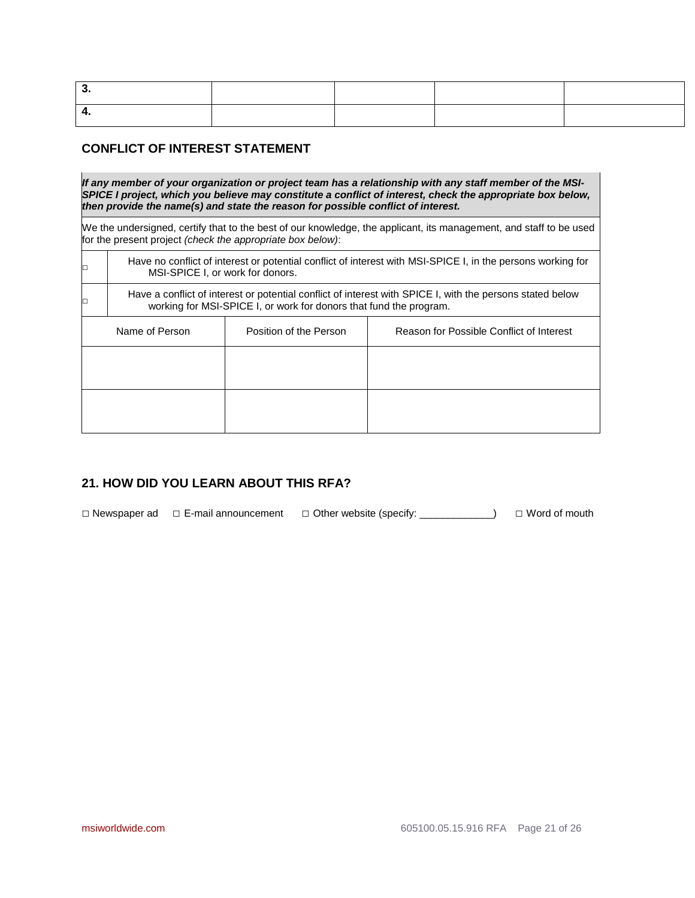# **CONFLICT OF INTEREST STATEMENT**

□

□

*If any member of your organization or project team has a relationship with any staff member of the MSI-SPICE I project, which you believe may constitute a conflict of interest, check the appropriate box below, then provide the name(s) and state the reason for possible conflict of interest.* 

We the undersigned, certify that to the best of our knowledge, the applicant, its management, and staff to be used for the present project *(check the appropriate box below)*:

Have no conflict of interest or potential conflict of interest with MSI-SPICE I, in the persons working for MSI-SPICE I, or work for donors.

Have a conflict of interest or potential conflict of interest with SPICE I, with the persons stated below working for MSI-SPICE I, or work for donors that fund the program.

| Name of Person | Position of the Person | Reason for Possible Conflict of Interest |
|----------------|------------------------|------------------------------------------|
|                |                        |                                          |
|                |                        |                                          |
|                |                        |                                          |
|                |                        |                                          |

# **21. HOW DID YOU LEARN ABOUT THIS RFA?**

□ Newspaper ad □ E-mail announcement □ Other website (specify: \_\_\_\_\_\_\_\_\_\_\_\_\_) □ Word of mouth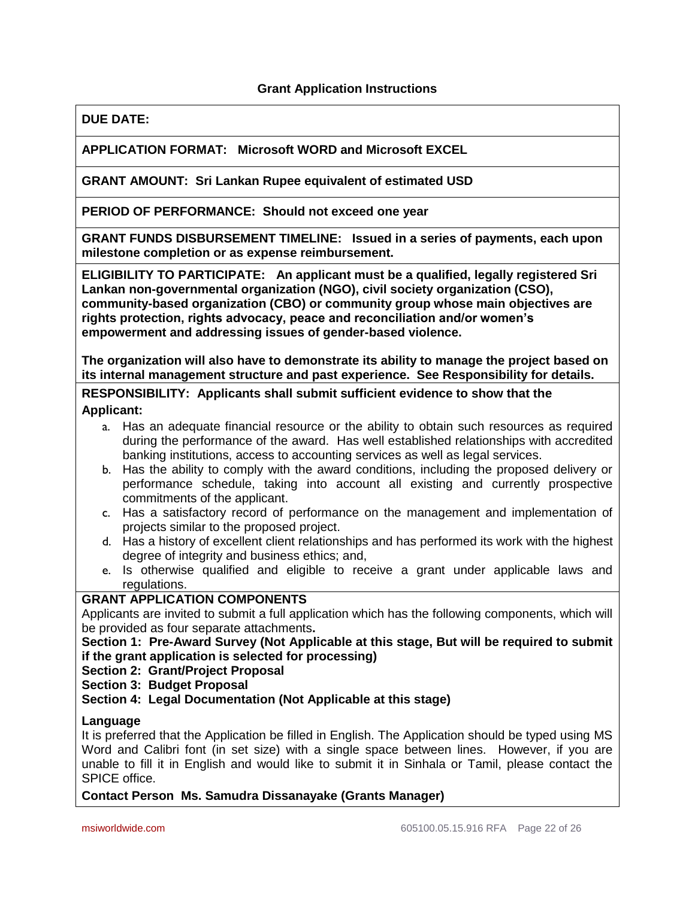## **Grant Application Instructions**

### **DUE DATE:**

## **APPLICATION FORMAT: Microsoft WORD and Microsoft EXCEL**

#### **GRANT AMOUNT: Sri Lankan Rupee equivalent of estimated USD**

**PERIOD OF PERFORMANCE: Should not exceed one year**

**GRANT FUNDS DISBURSEMENT TIMELINE: Issued in a series of payments, each upon milestone completion or as expense reimbursement.**

**ELIGIBILITY TO PARTICIPATE: An applicant must be a qualified, legally registered Sri Lankan non-governmental organization (NGO), civil society organization (CSO), community-based organization (CBO) or community group whose main objectives are rights protection, rights advocacy, peace and reconciliation and/or women's empowerment and addressing issues of gender-based violence.** 

**The organization will also have to demonstrate its ability to manage the project based on its internal management structure and past experience. See Responsibility for details.**

**RESPONSIBILITY: Applicants shall submit sufficient evidence to show that the Applicant:**

- a. Has an adequate financial resource or the ability to obtain such resources as required during the performance of the award. Has well established relationships with accredited banking institutions, access to accounting services as well as legal services.
- b. Has the ability to comply with the award conditions, including the proposed delivery or performance schedule, taking into account all existing and currently prospective commitments of the applicant.
- c. Has a satisfactory record of performance on the management and implementation of projects similar to the proposed project.
- d. Has a history of excellent client relationships and has performed its work with the highest degree of integrity and business ethics; and,
- e. Is otherwise qualified and eligible to receive a grant under applicable laws and regulations.

## **GRANT APPLICATION COMPONENTS**

Applicants are invited to submit a full application which has the following components, which will be provided as four separate attachments**.** 

**Section 1: Pre-Award Survey (Not Applicable at this stage, But will be required to submit if the grant application is selected for processing)**

**Section 2: Grant/Project Proposal**

**Section 3: Budget Proposal**

**Section 4: Legal Documentation (Not Applicable at this stage)**

#### **Language**

It is preferred that the Application be filled in English. The Application should be typed using MS Word and Calibri font (in set size) with a single space between lines. However, if you are unable to fill it in English and would like to submit it in Sinhala or Tamil, please contact the SPICE office.

#### **Contact Person Ms. Samudra Dissanayake (Grants Manager)**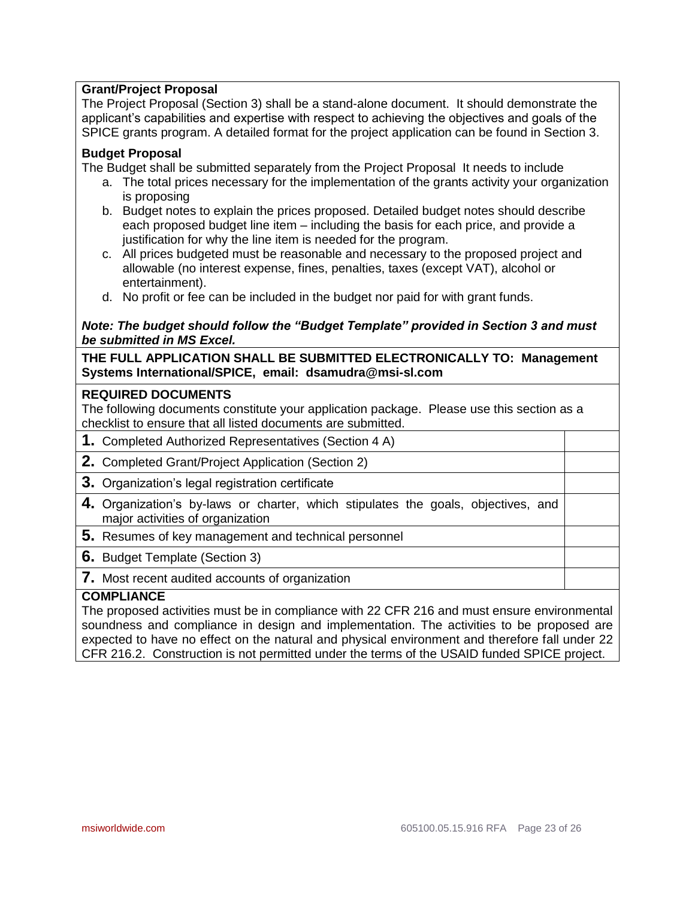# **Grant/Project Proposal**

The Project Proposal (Section 3) shall be a stand-alone document. It should demonstrate the applicant's capabilities and expertise with respect to achieving the objectives and goals of the SPICE grants program. A detailed format for the project application can be found in Section 3.

## **Budget Proposal**

The Budget shall be submitted separately from the Project Proposal It needs to include

- a. The total prices necessary for the implementation of the grants activity your organization is proposing
- b. Budget notes to explain the prices proposed. Detailed budget notes should describe each proposed budget line item – including the basis for each price, and provide a justification for why the line item is needed for the program.
- c. All prices budgeted must be reasonable and necessary to the proposed project and allowable (no interest expense, fines, penalties, taxes (except VAT), alcohol or entertainment).
- d. No profit or fee can be included in the budget nor paid for with grant funds.

### *Note: The budget should follow the "Budget Template" provided in Section 3 and must be submitted in MS Excel.*

**THE FULL APPLICATION SHALL BE SUBMITTED ELECTRONICALLY TO: Management Systems International/SPICE, email: [dsamudra@msi-sl.com](mailto:dsamudra@msi-sl.com)**

### **REQUIRED DOCUMENTS**

The following documents constitute your application package. Please use this section as a checklist to ensure that all listed documents are submitted.

- **1.** Completed Authorized Representatives (Section 4 A)
- **2.** Completed Grant/Project Application (Section 2)
- **3.** Organization's legal registration certificate
- **4.** Organization's by-laws or charter, which stipulates the goals, objectives, and major activities of organization
- **5.** Resumes of key management and technical personnel

#### **6.** Budget Template (Section 3)

# **7.** Most recent audited accounts of organization

# **COMPLIANCE**

The proposed activities must be in compliance with 22 CFR 216 and must ensure environmental soundness and compliance in design and implementation. The activities to be proposed are expected to have no effect on the natural and physical environment and therefore fall under 22 CFR 216.2. Construction is not permitted under the terms of the USAID funded SPICE project.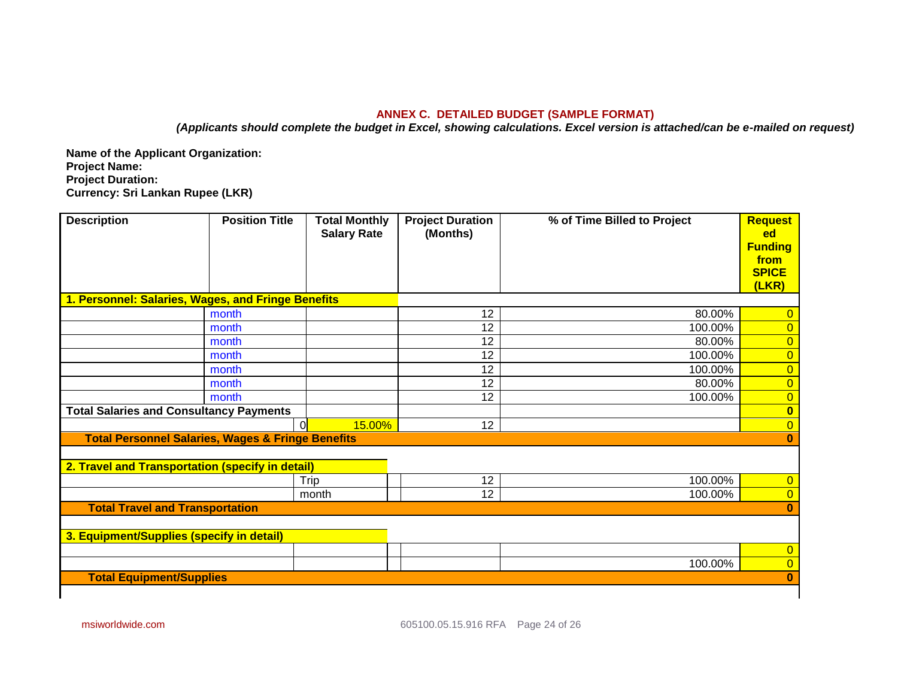### **ANNEX C. DETAILED BUDGET (SAMPLE FORMAT)**

*(Applicants should complete the budget in Excel, showing calculations. Excel version is attached/can be e-mailed on request)*

**Name of the Applicant Organization: Project Name: Project Duration: Currency: Sri Lankan Rupee (LKR)**

| <b>Description</b>                                           | <b>Position Title</b> | <b>Total Monthly</b> | <b>Project Duration</b> | % of Time Billed to Project | <b>Request</b>          |
|--------------------------------------------------------------|-----------------------|----------------------|-------------------------|-----------------------------|-------------------------|
|                                                              |                       | <b>Salary Rate</b>   | (Months)                |                             | ed                      |
|                                                              |                       |                      |                         |                             | <b>Funding</b>          |
|                                                              |                       |                      |                         |                             | from<br><b>SPICE</b>    |
|                                                              |                       |                      |                         |                             | (LKR)                   |
| 1. Personnel: Salaries, Wages, and Fringe Benefits           |                       |                      |                         |                             |                         |
|                                                              | month                 |                      | 12                      | 80.00%                      | $\overline{0}$          |
|                                                              | month                 |                      | 12                      | 100.00%                     | $\overline{0}$          |
|                                                              | month                 |                      | 12                      | 80.00%                      | $\overline{0}$          |
|                                                              | month                 |                      | 12                      | 100.00%                     | $\overline{0}$          |
|                                                              | month                 |                      | 12                      | 100.00%                     | $\overline{0}$          |
|                                                              | month                 |                      | 12                      | 80.00%                      | $\overline{0}$          |
|                                                              | month                 |                      | 12                      | 100.00%                     | $\overline{0}$          |
| <b>Total Salaries and Consultancy Payments</b>               |                       |                      |                         |                             | $\overline{\mathbf{0}}$ |
|                                                              | $\Omega$              | 15.00%               | 12                      |                             | $\overline{0}$          |
| <b>Total Personnel Salaries, Wages &amp; Fringe Benefits</b> |                       |                      |                         |                             | $\bf{0}$                |
|                                                              |                       |                      |                         |                             |                         |
| 2. Travel and Transportation (specify in detail)             |                       |                      |                         |                             |                         |
|                                                              |                       | Trip                 | 12                      | 100.00%                     | $\overline{0}$          |
|                                                              |                       | month                | 12                      | 100.00%                     | $\overline{0}$          |
| <b>Total Travel and Transportation</b>                       |                       |                      |                         |                             | $\bf{0}$                |
|                                                              |                       |                      |                         |                             |                         |
| 3. Equipment/Supplies (specify in detail)                    |                       |                      |                         |                             |                         |
|                                                              |                       |                      |                         |                             | $\overline{0}$          |
|                                                              |                       |                      |                         | 100.00%                     | $\overline{0}$          |
| <b>Total Equipment/Supplies</b>                              |                       |                      |                         |                             | $\bf{0}$                |
|                                                              |                       |                      |                         |                             |                         |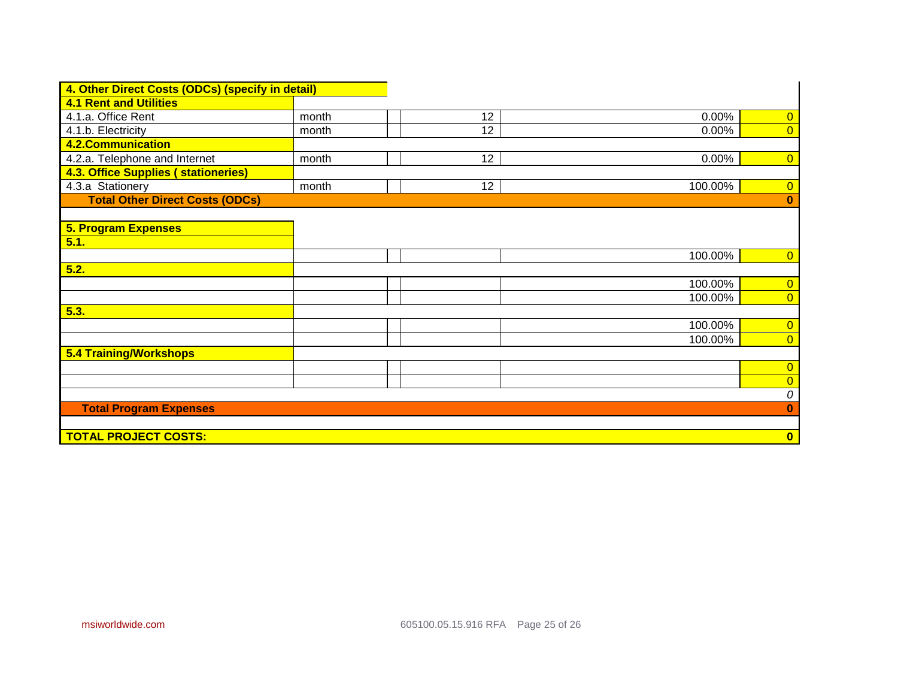| 4. Other Direct Costs (ODCs) (specify in detail) |       |                  |         |                         |
|--------------------------------------------------|-------|------------------|---------|-------------------------|
| <b>4.1 Rent and Utilities</b>                    |       |                  |         |                         |
| 4.1.a. Office Rent                               | month | 12               | 0.00%   | $\overline{0}$          |
| 4.1.b. Electricity                               | month | 12               | 0.00%   | $\overline{0}$          |
| <b>4.2.Communication</b>                         |       |                  |         |                         |
| 4.2.a. Telephone and Internet                    | month | 12 <sub>2</sub>  | 0.00%   | $\overline{0}$          |
| <b>4.3. Office Supplies ( stationeries)</b>      |       |                  |         |                         |
| 4.3.a Stationery                                 | month | 12 <sup>12</sup> | 100.00% | $\overline{0}$          |
| <b>Total Other Direct Costs (ODCs)</b>           |       |                  |         | $\bf{0}$                |
|                                                  |       |                  |         |                         |
| <b>5. Program Expenses</b>                       |       |                  |         |                         |
| 5.1.                                             |       |                  |         |                         |
|                                                  |       |                  | 100.00% | $\overline{0}$          |
| 5.2.                                             |       |                  |         |                         |
|                                                  |       |                  | 100.00% | $\overline{0}$          |
|                                                  |       |                  | 100.00% | $\overline{0}$          |
| 5.3.                                             |       |                  |         |                         |
|                                                  |       |                  | 100.00% | $\overline{0}$          |
|                                                  |       |                  | 100.00% | $\overline{0}$          |
| 5.4 Training/Workshops                           |       |                  |         |                         |
|                                                  |       |                  |         | $\overline{0}$          |
|                                                  |       |                  |         | $\overline{0}$          |
|                                                  |       |                  |         | 0                       |
| <b>Total Program Expenses</b>                    |       |                  |         | $\bf{0}$                |
|                                                  |       |                  |         |                         |
| <b>TOTAL PROJECT COSTS:</b>                      |       |                  |         | $\overline{\mathbf{0}}$ |